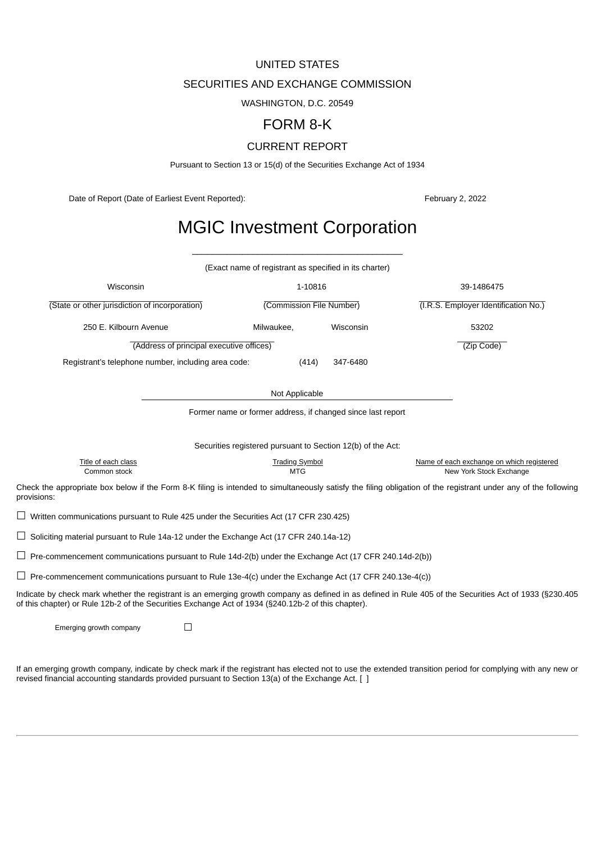# UNITED STATES

# SECURITIES AND EXCHANGE COMMISSION

WASHINGTON, D.C. 20549

# FORM 8-K

# CURRENT REPORT

Pursuant to Section 13 or 15(d) of the Securities Exchange Act of 1934

Date of Report (Date of Earliest Event Reported): February 2, 2022

# MGIC Investment Corporation

\_\_\_\_\_\_\_\_\_\_\_\_\_\_\_\_\_\_\_\_\_\_\_\_\_\_\_\_\_\_\_\_\_\_\_\_\_\_\_\_\_\_

|                                                                                                                                                                                                                                                                   | (Exact name of registrant as specified in its charter) |                                                             |                                                                      |
|-------------------------------------------------------------------------------------------------------------------------------------------------------------------------------------------------------------------------------------------------------------------|--------------------------------------------------------|-------------------------------------------------------------|----------------------------------------------------------------------|
| Wisconsin                                                                                                                                                                                                                                                         | 39-1486475                                             |                                                             |                                                                      |
| (State or other jurisdiction of incorporation)                                                                                                                                                                                                                    | (Commission File Number)                               | (I.R.S. Employer Identification No.)                        |                                                                      |
| 250 E. Kilbourn Avenue                                                                                                                                                                                                                                            | Milwaukee,                                             | Wisconsin                                                   | 53202                                                                |
| (Address of principal executive offices)                                                                                                                                                                                                                          | (Zip Code)                                             |                                                             |                                                                      |
| Registrant's telephone number, including area code:                                                                                                                                                                                                               | (414)                                                  | 347-6480                                                    |                                                                      |
|                                                                                                                                                                                                                                                                   | Not Applicable                                         |                                                             |                                                                      |
|                                                                                                                                                                                                                                                                   |                                                        | Former name or former address, if changed since last report |                                                                      |
|                                                                                                                                                                                                                                                                   |                                                        |                                                             |                                                                      |
|                                                                                                                                                                                                                                                                   |                                                        | Securities registered pursuant to Section 12(b) of the Act: |                                                                      |
| Title of each class<br>Common stock                                                                                                                                                                                                                               | <b>Trading Symbol</b><br><b>MTG</b>                    |                                                             | Name of each exchange on which registered<br>New York Stock Exchange |
| Check the appropriate box below if the Form 8-K filing is intended to simultaneously satisfy the filing obligation of the registrant under any of the following<br>provisions:                                                                                    |                                                        |                                                             |                                                                      |
| $\Box$ Written communications pursuant to Rule 425 under the Securities Act (17 CFR 230.425)                                                                                                                                                                      |                                                        |                                                             |                                                                      |
| $\Box$ Soliciting material pursuant to Rule 14a-12 under the Exchange Act (17 CFR 240.14a-12)                                                                                                                                                                     |                                                        |                                                             |                                                                      |
| $\Box$ Pre-commencement communications pursuant to Rule 14d-2(b) under the Exchange Act (17 CFR 240.14d-2(b))                                                                                                                                                     |                                                        |                                                             |                                                                      |
| $\Box$ Pre-commencement communications pursuant to Rule 13e-4(c) under the Exchange Act (17 CFR 240.13e-4(c))                                                                                                                                                     |                                                        |                                                             |                                                                      |
| Indicate by check mark whether the registrant is an emerging growth company as defined in as defined in Rule 405 of the Securities Act of 1933 (§230.405<br>of this chapter) or Rule 12b-2 of the Securities Exchange Act of 1934 (§240.12b-2 of this chapter).   |                                                        |                                                             |                                                                      |
| Emerging growth company<br>$\Box$                                                                                                                                                                                                                                 |                                                        |                                                             |                                                                      |
| If an emerging growth company, indicate by check mark if the registrant has elected not to use the extended transition period for complying with any new or<br>revised financial accounting standards provided pursuant to Section 13(a) of the Exchange Act. [ ] |                                                        |                                                             |                                                                      |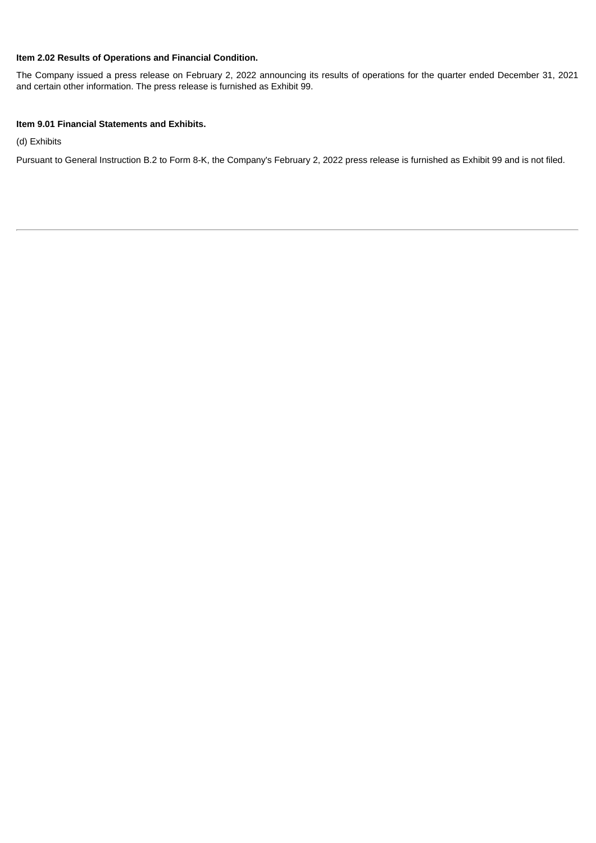# **Item 2.02 Results of Operations and Financial Condition.**

The Company issued a press release on February 2, 2022 announcing its results of operations for the quarter ended December 31, 2021 and certain other information. The press release is furnished as Exhibit 99.

# **Item 9.01 Financial Statements and Exhibits.**

(d) Exhibits

Pursuant to General Instruction B.2 to Form 8-K, the Company's February 2, 2022 press release is furnished as Exhibit 99 and is not filed.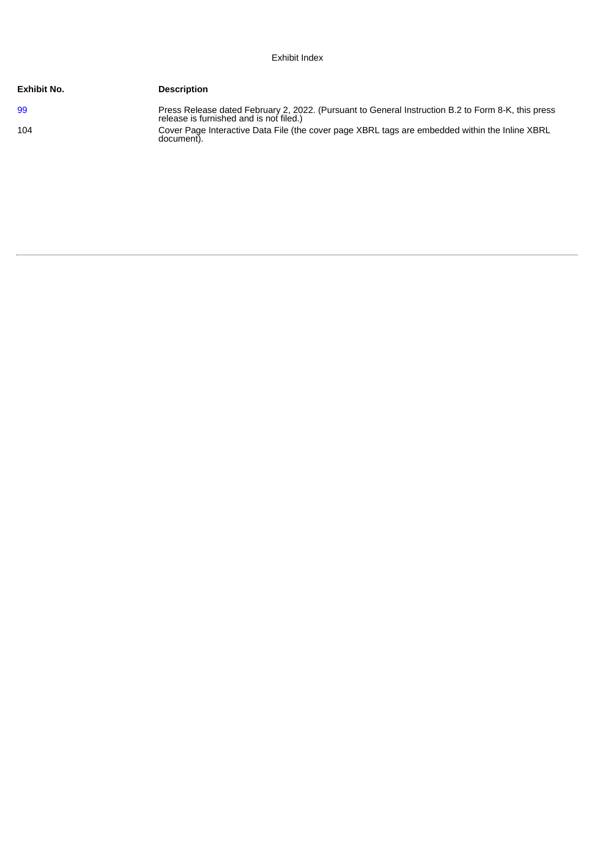# Exhibit Index

| <b>Exhibit No.</b> | <b>Description</b>                                                                                                                            |
|--------------------|-----------------------------------------------------------------------------------------------------------------------------------------------|
| -99                | Press Release dated February 2, 2022. (Pursuant to General Instruction B.2 to Form 8-K, this press<br>release is furnished and is not filed.) |
| 104                | Cover Page Interactive Data File (the cover page XBRL tags are embedded within the Inline XBRL<br>document).                                  |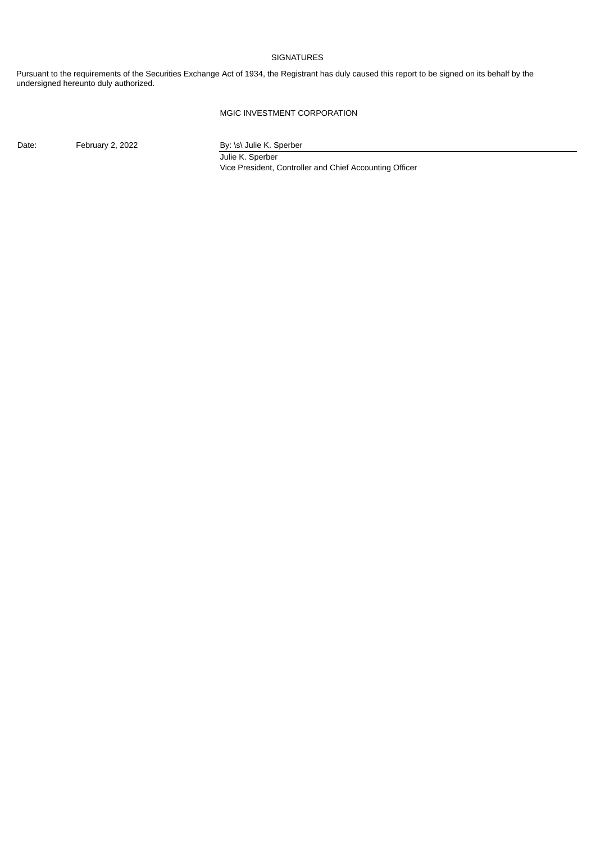# **SIGNATURES**

Pursuant to the requirements of the Securities Exchange Act of 1934, the Registrant has duly caused this report to be signed on its behalf by the undersigned hereunto duly authorized.

# MGIC INVESTMENT CORPORATION

Date: February 2, 2022 By: \s\ Julie K. Sperber

Julie K. Sperber Vice President, Controller and Chief Accounting Officer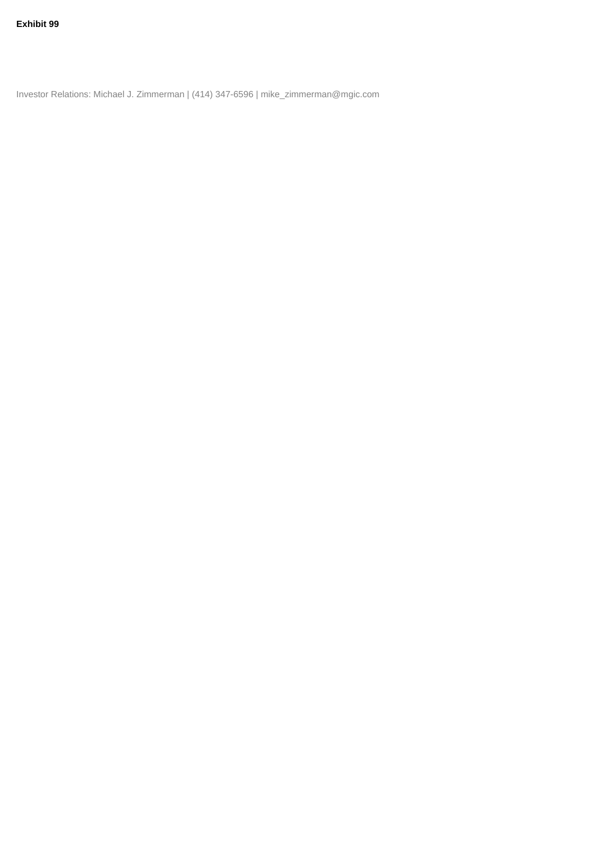<span id="page-4-0"></span>Investor Relations: Michael J. Zimmerman | (414) 347-6596 | mike\_zimmerman@mgic.com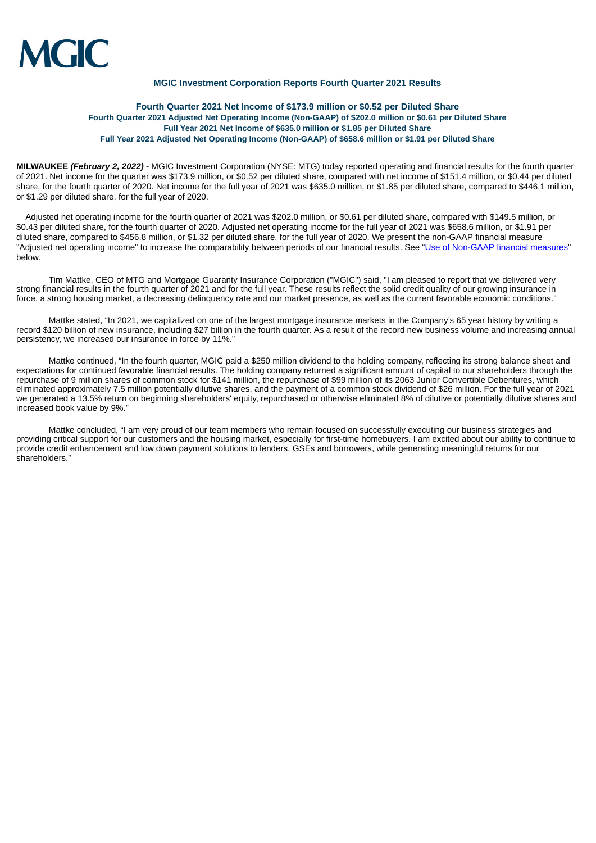

## **MGIC Investment Corporation Reports Fourth Quarter 2021 Results**

# **Fourth Quarter 2021 Net Income of \$173.9 million or \$0.52 per Diluted Share Fourth Quarter 2021 Adjusted Net Operating Income (Non-GAAP) of \$202.0 million or \$0.61 per Diluted Share Full Year 2021 Net Income of \$635.0 million or \$1.85 per Diluted Share Full Year 2021 Adjusted Net Operating Income (Non-GAAP) of \$658.6 million or \$1.91 per Diluted Share**

**MILWAUKEE** *(February 2, 2022) -* MGIC Investment Corporation (NYSE: MTG) today reported operating and financial results for the fourth quarter of 2021. Net income for the quarter was \$173.9 million, or \$0.52 per diluted share, compared with net income of \$151.4 million, or \$0.44 per diluted share, for the fourth quarter of 2020. Net income for the full year of 2021 was \$635.0 million, or \$1.85 per diluted share, compared to \$446.1 million, or \$1.29 per diluted share, for the full year of 2020.

Adjusted net operating income for the fourth quarter of 2021 was \$202.0 million, or \$0.61 per diluted share, compared with \$149.5 million, or \$0.43 per diluted share, for the fourth quarter of 2020. Adjusted net operating income for the full year of 2021 was \$658.6 million, or \$1.91 per diluted share, compared to \$456.8 million, or \$1.32 per diluted share, for the full year of 2020. We present the non-GAAP financial measure "Adjusted net operating income" to increase the comparability between periods of our financial results. See "Use of [Non-GAAP](#page-8-0) financial measures" below.

Tim Mattke, CEO of MTG and Mortgage Guaranty Insurance Corporation ("MGIC") said, "I am pleased to report that we delivered very strong financial results in the fourth quarter of 2021 and for the full year. These results reflect the solid credit quality of our growing insurance in force, a strong housing market, a decreasing delinquency rate and our market presence, as well as the current favorable economic conditions."

Mattke stated, "In 2021, we capitalized on one of the largest mortgage insurance markets in the Company's 65 year history by writing a record \$120 billion of new insurance, including \$27 billion in the fourth quarter. As a result of the record new business volume and increasing annual persistency, we increased our insurance in force by 11%."

Mattke continued, "In the fourth quarter, MGIC paid a \$250 million dividend to the holding company, reflecting its strong balance sheet and expectations for continued favorable financial results. The holding company returned a significant amount of capital to our shareholders through the repurchase of 9 million shares of common stock for \$141 million, the repurchase of \$99 million of its 2063 Junior Convertible Debentures, which eliminated approximately 7.5 million potentially dilutive shares, and the payment of a common stock dividend of \$26 million. For the full year of 2021 we generated a 13.5% return on beginning shareholders' equity, repurchased or otherwise eliminated 8% of dilutive or potentially dilutive shares and increased book value by 9%."

Mattke concluded, "I am very proud of our team members who remain focused on successfully executing our business strategies and providing critical support for our customers and the housing market, especially for first-time homebuyers. I am excited about our ability to continue to provide credit enhancement and low down payment solutions to lenders, GSEs and borrowers, while generating meaningful returns for our shareholders."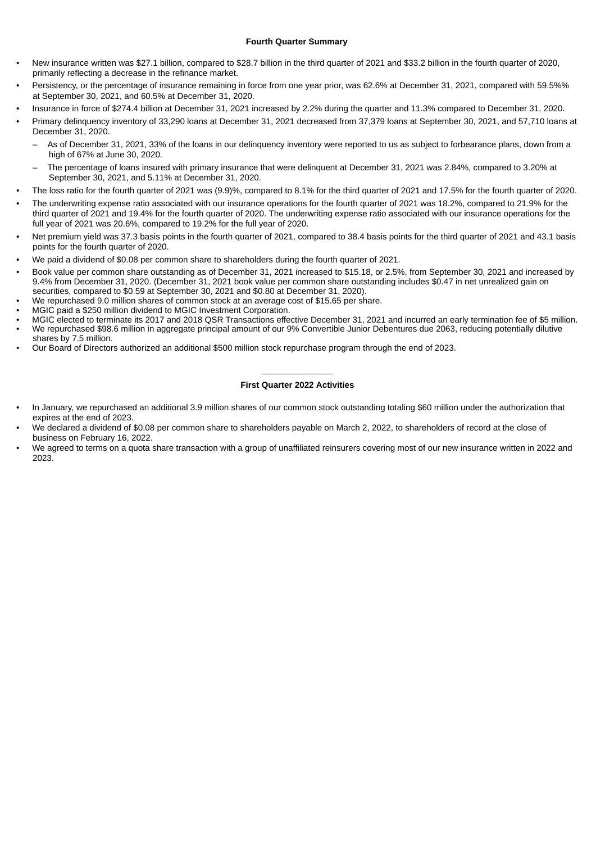- New insurance written was \$27.1 billion, compared to \$28.7 billion in the third quarter of 2021 and \$33.2 billion in the fourth quarter of 2020, primarily reflecting a decrease in the refinance market.
- Persistency, or the percentage of insurance remaining in force from one year prior, was 62.6% at December 31, 2021, compared with 59.5%% at September 30, 2021, and 60.5% at December 31, 2020.
- Insurance in force of \$274.4 billion at December 31, 2021 increased by 2.2% during the quarter and 11.3% compared to December 31, 2020.
- Primary delinquency inventory of 33,290 loans at December 31, 2021 decreased from 37,379 loans at September 30, 2021, and 57,710 loans at December 31, 2020.
	- As of December 31, 2021, 33% of the loans in our delinquency inventory were reported to us as subject to forbearance plans, down from a high of 67% at June 30, 2020.
	- The percentage of loans insured with primary insurance that were delinquent at December 31, 2021 was 2.84%, compared to 3.20% at September 30, 2021, and 5.11% at December 31, 2020.
- The loss ratio for the fourth quarter of 2021 was (9.9)%, compared to 8.1% for the third quarter of 2021 and 17.5% for the fourth quarter of 2020.
- The underwriting expense ratio associated with our insurance operations for the fourth quarter of 2021 was 18.2%, compared to 21.9% for the third quarter of 2021 and 19.4% for the fourth quarter of 2020. The underwriting expense ratio associated with our insurance operations for the full year of 2021 was 20.6%, compared to 19.2% for the full year of 2020.
- Net premium yield was 37.3 basis points in the fourth quarter of 2021, compared to 38.4 basis points for the third quarter of 2021 and 43.1 basis points for the fourth quarter of 2020.
- We paid a dividend of \$0.08 per common share to shareholders during the fourth quarter of 2021.
- Book value per common share outstanding as of December 31, 2021 increased to \$15.18, or 2.5%, from September 30, 2021 and increased by 9.4% from December 31, 2020. (December 31, 2021 book value per common share outstanding includes \$0.47 in net unrealized gain on securities, compared to \$0.59 at September 30, 2021 and \$0.80 at December 31, 2020).
- We repurchased 9.0 million shares of common stock at an average cost of \$15.65 per share.
- MGIC paid a \$250 million dividend to MGIC Investment Corporation.
- MGIC elected to terminate its 2017 and 2018 QSR Transactions effective December 31, 2021 and incurred an early termination fee of \$5 million.
- We repurchased \$98.6 million in aggregate principal amount of our 9% Convertible Junior Debentures due 2063, reducing potentially dilutive shares by 7.5 million.
- Our Board of Directors authorized an additional \$500 million stock repurchase program through the end of 2023.

# $\frac{1}{2}$ **First Quarter 2022 Activities**

- In January, we repurchased an additional 3.9 million shares of our common stock outstanding totaling \$60 million under the authorization that expires at the end of 2023.
- We declared a dividend of \$0.08 per common share to shareholders payable on March 2, 2022, to shareholders of record at the close of business on February 16, 2022.
- We agreed to terms on a quota share transaction with a group of unaffiliated reinsurers covering most of our new insurance written in 2022 and 2023.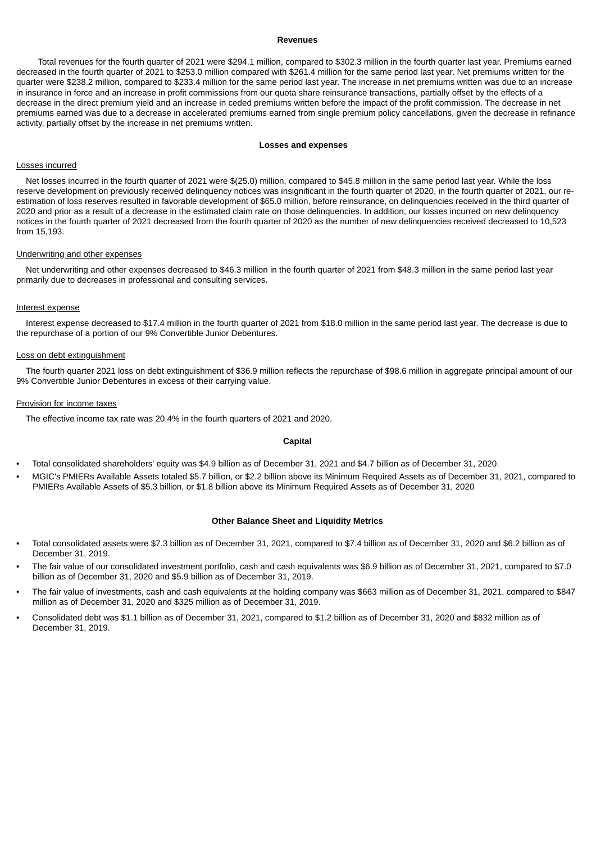# **Revenues**

Total revenues for the fourth quarter of 2021 were \$294.1 million, compared to \$302.3 million in the fourth quarter last year. Premiums earned decreased in the fourth quarter of 2021 to \$253.0 million compared with \$261.4 million for the same period last year. Net premiums written for the quarter were \$238.2 million, compared to \$233.4 million for the same period last year. The increase in net premiums written was due to an increase in insurance in force and an increase in profit commissions from our quota share reinsurance transactions, partially offset by the effects of a decrease in the direct premium yield and an increase in ceded premiums written before the impact of the profit commission. The decrease in net premiums earned was due to a decrease in accelerated premiums earned from single premium policy cancellations, given the decrease in refinance activity, partially offset by the increase in net premiums written.

#### **Losses and expenses**

# Losses incurred

Net losses incurred in the fourth quarter of 2021 were \$(25.0) million, compared to \$45.8 million in the same period last year. While the loss reserve development on previously received delinquency notices was insignificant in the fourth quarter of 2020, in the fourth quarter of 2021, our reestimation of loss reserves resulted in favorable development of \$65.0 million, before reinsurance, on delinquencies received in the third quarter of 2020 and prior as a result of a decrease in the estimated claim rate on those delinquencies. In addition, our losses incurred on new delinquency notices in the fourth quarter of 2021 decreased from the fourth quarter of 2020 as the number of new delinquencies received decreased to 10,523 from 15,193.

#### Underwriting and other expenses

Net underwriting and other expenses decreased to \$46.3 million in the fourth quarter of 2021 from \$48.3 million in the same period last year primarily due to decreases in professional and consulting services.

#### Interest expense

Interest expense decreased to \$17.4 million in the fourth quarter of 2021 from \$18.0 million in the same period last year. The decrease is due to the repurchase of a portion of our 9% Convertible Junior Debentures.

## Loss on debt extinguishment

The fourth quarter 2021 loss on debt extinguishment of \$36.9 million reflects the repurchase of \$98.6 million in aggregate principal amount of our 9% Convertible Junior Debentures in excess of their carrying value.

#### Provision for income taxes

The effective income tax rate was 20.4% in the fourth quarters of 2021 and 2020.

## **Capital**

- Total consolidated shareholders' equity was \$4.9 billion as of December 31, 2021 and \$4.7 billion as of December 31, 2020.
- MGIC's PMIERs Available Assets totaled \$5.7 billion, or \$2.2 billion above its Minimum Required Assets as of December 31, 2021, compared to PMIERs Available Assets of \$5.3 billion, or \$1.8 billion above its Minimum Required Assets as of December 31, 2020

# **Other Balance Sheet and Liquidity Metrics**

- Total consolidated assets were \$7.3 billion as of December 31, 2021, compared to \$7.4 billion as of December 31, 2020 and \$6.2 billion as of December 31, 2019.
- The fair value of our consolidated investment portfolio, cash and cash equivalents was \$6.9 billion as of December 31, 2021, compared to \$7.0 billion as of December 31, 2020 and \$5.9 billion as of December 31, 2019.
- The fair value of investments, cash and cash equivalents at the holding company was \$663 million as of December 31, 2021, compared to \$847 million as of December 31, 2020 and \$325 million as of December 31, 2019.
- Consolidated debt was \$1.1 billion as of December 31, 2021, compared to \$1.2 billion as of December 31, 2020 and \$832 million as of December 31, 2019.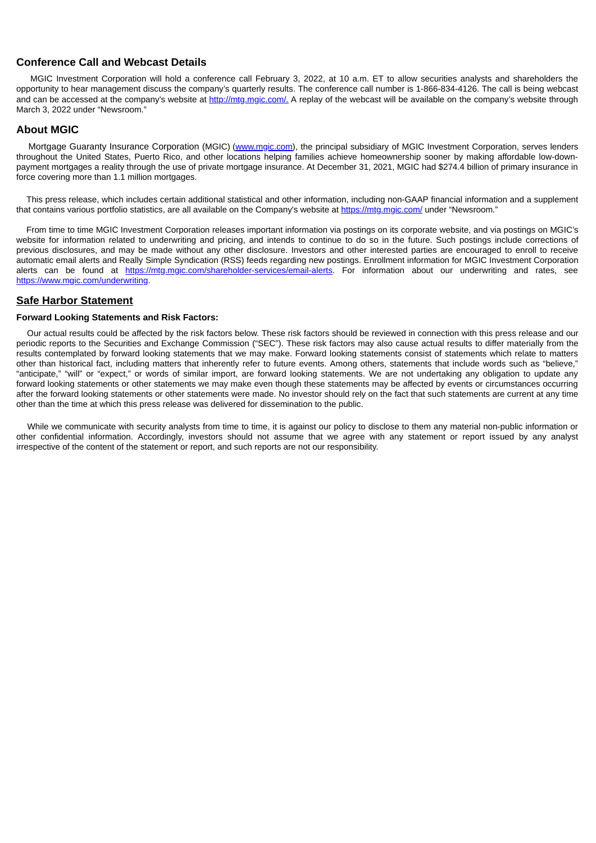# **Conference Call and Webcast Details**

MGIC Investment Corporation will hold a conference call February 3, 2022, at 10 a.m. ET to allow securities analysts and shareholders the opportunity to hear management discuss the company's quarterly results. The conference call number is 1-866-834-4126. The call is being webcast and can be accessed at the company's website at http://mtg.mgic.com/. A replay of the webcast will be available on the company's website through March 3, 2022 under "Newsroom."

# **About MGIC**

Mortgage Guaranty Insurance Corporation (MGIC) (www.mgic.com), the principal subsidiary of MGIC Investment Corporation, serves lenders throughout the United States, Puerto Rico, and other locations helping families achieve homeownership sooner by making affordable low-downpayment mortgages a reality through the use of private mortgage insurance. At December 31, 2021, MGIC had \$274.4 billion of primary insurance in force covering more than 1.1 million mortgages.

This press release, which includes certain additional statistical and other information, including non-GAAP financial information and a supplement that contains various portfolio statistics, are all available on the Company's website at https://mtg.mgic.com/ under "Newsroom."

From time to time MGIC Investment Corporation releases important information via postings on its corporate website, and via postings on MGIC's website for information related to underwriting and pricing, and intends to continue to do so in the future. Such postings include corrections of previous disclosures, and may be made without any other disclosure. Investors and other interested parties are encouraged to enroll to receive automatic email alerts and Really Simple Syndication (RSS) feeds regarding new postings. Enrollment information for MGIC Investment Corporation alerts can be found at https://mtg.mgic.com/shareholder-services/email-alerts. For information about our underwriting and rates, see https://www.mgic.com/underwriting.

# **Safe Harbor Statement**

# **Forward Looking Statements and Risk Factors:**

Our actual results could be affected by the risk factors below. These risk factors should be reviewed in connection with this press release and our periodic reports to the Securities and Exchange Commission ("SEC"). These risk factors may also cause actual results to differ materially from the results contemplated by forward looking statements that we may make. Forward looking statements consist of statements which relate to matters other than historical fact, including matters that inherently refer to future events. Among others, statements that include words such as "believe," "anticipate," "will" or "expect," or words of similar import, are forward looking statements. We are not undertaking any obligation to update any forward looking statements or other statements we may make even though these statements may be affected by events or circumstances occurring after the forward looking statements or other statements were made. No investor should rely on the fact that such statements are current at any time other than the time at which this press release was delivered for dissemination to the public.

<span id="page-8-0"></span>While we communicate with security analysts from time to time, it is against our policy to disclose to them any material non-public information or other confidential information. Accordingly, investors should not assume that we agree with any statement or report issued by any analyst irrespective of the content of the statement or report, and such reports are not our responsibility.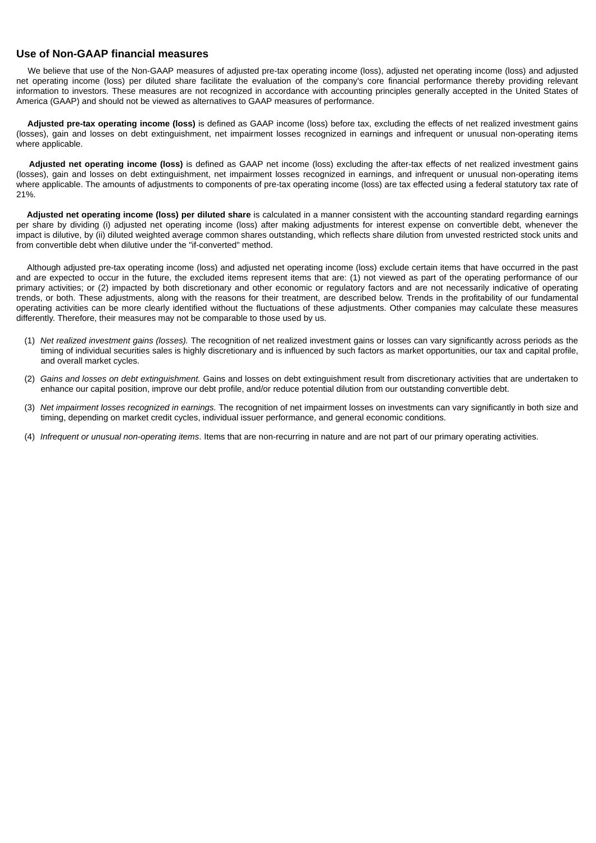# **Use of Non-GAAP financial measures**

We believe that use of the Non-GAAP measures of adjusted pre-tax operating income (loss), adjusted net operating income (loss) and adjusted net operating income (loss) per diluted share facilitate the evaluation of the company's core financial performance thereby providing relevant information to investors. These measures are not recognized in accordance with accounting principles generally accepted in the United States of America (GAAP) and should not be viewed as alternatives to GAAP measures of performance.

**Adjusted pre-tax operating income (loss)** is defined as GAAP income (loss) before tax, excluding the effects of net realized investment gains (losses), gain and losses on debt extinguishment, net impairment losses recognized in earnings and infrequent or unusual non-operating items where applicable.

**Adjusted net operating income (loss)** is defined as GAAP net income (loss) excluding the after-tax effects of net realized investment gains (losses), gain and losses on debt extinguishment, net impairment losses recognized in earnings, and infrequent or unusual non-operating items where applicable. The amounts of adjustments to components of pre-tax operating income (loss) are tax effected using a federal statutory tax rate of 21%.

**Adjusted net operating income (loss) per diluted share** is calculated in a manner consistent with the accounting standard regarding earnings per share by dividing (i) adjusted net operating income (loss) after making adjustments for interest expense on convertible debt, whenever the impact is dilutive, by (ii) diluted weighted average common shares outstanding, which reflects share dilution from unvested restricted stock units and from convertible debt when dilutive under the "if-converted" method.

Although adjusted pre-tax operating income (loss) and adjusted net operating income (loss) exclude certain items that have occurred in the past and are expected to occur in the future, the excluded items represent items that are: (1) not viewed as part of the operating performance of our primary activities; or (2) impacted by both discretionary and other economic or regulatory factors and are not necessarily indicative of operating trends, or both. These adjustments, along with the reasons for their treatment, are described below. Trends in the profitability of our fundamental operating activities can be more clearly identified without the fluctuations of these adjustments. Other companies may calculate these measures differently. Therefore, their measures may not be comparable to those used by us.

- (1) *Net realized investment gains (losses).* The recognition of net realized investment gains or losses can vary significantly across periods as the timing of individual securities sales is highly discretionary and is influenced by such factors as market opportunities, our tax and capital profile, and overall market cycles.
- (2) *Gains and losses on debt extinguishment.* Gains and losses on debt extinguishment result from discretionary activities that are undertaken to enhance our capital position, improve our debt profile, and/or reduce potential dilution from our outstanding convertible debt.
- (3) *Net impairment losses recognized in earnings.* The recognition of net impairment losses on investments can vary significantly in both size and timing, depending on market credit cycles, individual issuer performance, and general economic conditions.
- (4) *Infrequent or unusual non-operating items*. Items that are non-recurring in nature and are not part of our primary operating activities.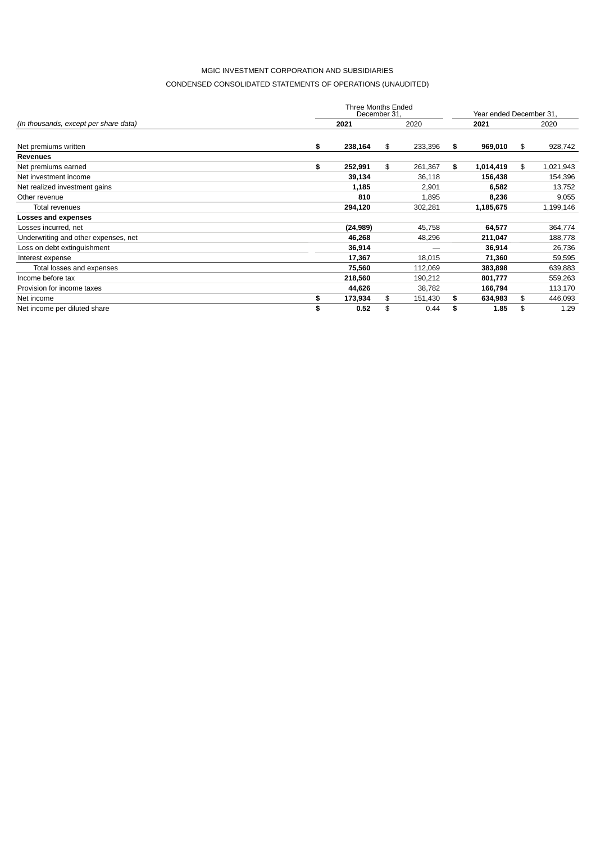# CONDENSED CONSOLIDATED STATEMENTS OF OPERATIONS (UNAUDITED)

|                                       | Three Months Ended<br>December 31, |    |         |    |           |    |           |  |  |
|---------------------------------------|------------------------------------|----|---------|----|-----------|----|-----------|--|--|
| (In thousands, except per share data) | 2021                               |    | 2020    |    | 2021      |    | 2020      |  |  |
| Net premiums written                  | \$<br>238,164                      | \$ | 233,396 | \$ | 969,010   | \$ | 928,742   |  |  |
| <b>Revenues</b>                       |                                    |    |         |    |           |    |           |  |  |
| Net premiums earned                   | \$<br>252,991                      | \$ | 261,367 | \$ | 1,014,419 | \$ | 1,021,943 |  |  |
| Net investment income                 | 39,134                             |    | 36,118  |    | 156,438   |    | 154,396   |  |  |
| Net realized investment gains         | 1,185                              |    | 2,901   |    | 6,582     |    | 13,752    |  |  |
| Other revenue                         | 810                                |    | 1,895   |    | 8,236     |    | 9,055     |  |  |
| Total revenues                        | 294,120                            |    | 302,281 |    | 1,185,675 |    | 1,199,146 |  |  |
| Losses and expenses                   |                                    |    |         |    |           |    |           |  |  |
| Losses incurred, net                  | (24, 989)                          |    | 45,758  |    | 64,577    |    | 364,774   |  |  |
| Underwriting and other expenses, net  | 46,268                             |    | 48,296  |    | 211,047   |    | 188,778   |  |  |
| Loss on debt extinguishment           | 36,914                             |    |         |    | 36,914    |    | 26,736    |  |  |
| Interest expense                      | 17,367                             |    | 18,015  |    | 71,360    |    | 59,595    |  |  |
| Total losses and expenses             | 75,560                             |    | 112,069 |    | 383,898   |    | 639,883   |  |  |
| Income before tax                     | 218,560                            |    | 190,212 |    | 801,777   |    | 559,263   |  |  |
| Provision for income taxes            | 44,626                             |    | 38,782  |    | 166,794   |    | 113,170   |  |  |
| Net income                            | \$<br>173,934                      | \$ | 151,430 | \$ | 634,983   | \$ | 446,093   |  |  |
| Net income per diluted share          | \$<br>0.52                         | \$ | 0.44    | \$ | 1.85      | \$ | 1.29      |  |  |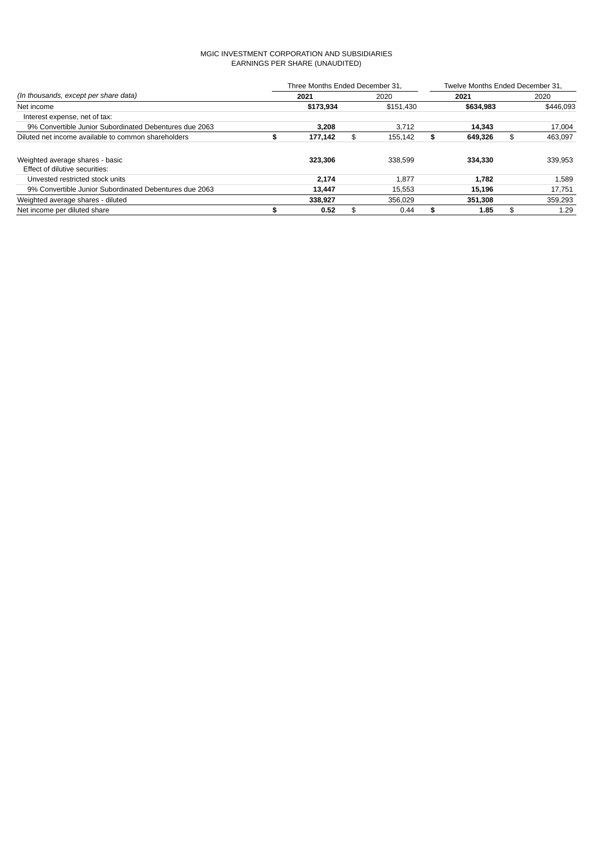# MGIC INVESTMENT CORPORATION AND SUBSIDIARIES EARNINGS PER SHARE (UNAUDITED)

|                                                        |   | Three Months Ended December 31, |     | Twelve Months Ended December 31. |               |    |           |  |  |
|--------------------------------------------------------|---|---------------------------------|-----|----------------------------------|---------------|----|-----------|--|--|
| (In thousands, except per share data)                  |   | 2021                            |     | 2020                             | 2021          |    | 2020      |  |  |
| Net income                                             |   | \$173,934                       |     | \$151,430                        | \$634,983     |    | \$446.093 |  |  |
| Interest expense, net of tax:                          |   |                                 |     |                                  |               |    |           |  |  |
| 9% Convertible Junior Subordinated Debentures due 2063 |   | 3.208                           |     | 3.712                            | 14.343        |    | 17,004    |  |  |
| Diluted net income available to common shareholders    | э | 177,142                         | \$. | 155.142                          | \$<br>649,326 | \$ | 463.097   |  |  |
| Weighted average shares - basic                        |   | 323.306                         |     | 338.599                          | 334.330       |    | 339.953   |  |  |
| Effect of dilutive securities:                         |   |                                 |     |                                  |               |    |           |  |  |
| Unvested restricted stock units                        |   | 2.174                           |     | 1.877                            | 1.782         |    | 1,589     |  |  |
| 9% Convertible Junior Subordinated Debentures due 2063 |   | 13,447                          |     | 15.553                           | 15,196        |    | 17,751    |  |  |
| Weighted average shares - diluted                      |   | 338.927                         |     | 356.029                          | 351,308       |    | 359,293   |  |  |
| Net income per diluted share                           |   | 0.52                            | \$. | 0.44                             | \$<br>1.85    | \$ | 1.29      |  |  |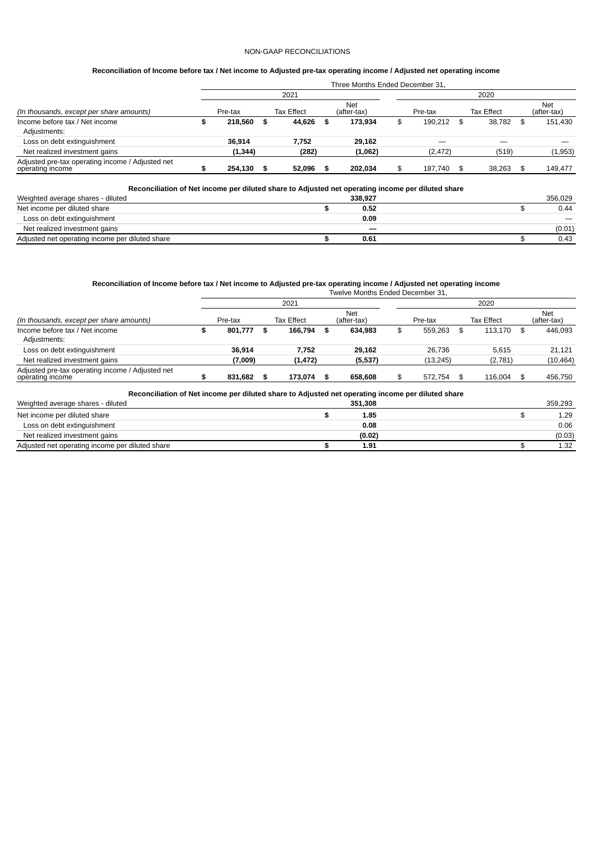# NON-GAAP RECONCILIATIONS

# Reconciliation of Income before tax / Net income to Adjusted pre-tax operating income / Adjusted net operating income

|                                                                      | Three Months Ended December 31. |          |    |                   |   |                           |  |          |    |            |    |                           |  |  |
|----------------------------------------------------------------------|---------------------------------|----------|----|-------------------|---|---------------------------|--|----------|----|------------|----|---------------------------|--|--|
|                                                                      |                                 |          |    | 2021              |   |                           |  |          |    | 2020       |    |                           |  |  |
| (In thousands, except per share amounts)                             |                                 | Pre-tax  |    | <b>Tax Effect</b> |   | <b>Net</b><br>(after-tax) |  | Pre-tax  |    | Tax Effect |    | <b>Net</b><br>(after-tax) |  |  |
| Income before tax / Net income<br>Adjustments:                       |                                 | 218.560  | \$ | 44,626            | S | 173,934                   |  | 190.212  | \$ | 38.782     | \$ | 151,430                   |  |  |
| Loss on debt extinguishment                                          |                                 | 36.914   |    | 7.752             |   | 29.162                    |  |          |    |            |    |                           |  |  |
| Net realized investment gains                                        |                                 | (1, 344) |    | (282)             |   | (1,062)                   |  | (2, 472) |    | (519)      |    | (1,953)                   |  |  |
| Adjusted pre-tax operating income / Adjusted net<br>operating income |                                 | 254.130  |    | 52.096            |   | 202.034                   |  | 187.740  | \$ | 38.263     | \$ | 149.477                   |  |  |
|                                                                      |                                 |          |    |                   |   |                           |  |          |    |            |    |                           |  |  |

# **Reconciliation of Net income per diluted share to Adjusted net operating income per diluted share**

| Weighted average shares - diluted               | 338.927 |  | 356.029 |
|-------------------------------------------------|---------|--|---------|
| Net income per diluted share                    | 0.52    |  | 0.44    |
| Loss on debt extinguishment                     | 0.09    |  |         |
| Net realized investment gains                   |         |  | (0.01)  |
| Adjusted net operating income per diluted share | 0.61    |  | 0.43    |

# Reconciliation of Income before tax / Net income to Adjusted pre-tax operating income / Adjusted net operating income

|                                                                      | Twelve Months Ended December 31. |         |    |                   |   |                           |      |           |  |                   |    |                           |  |  |
|----------------------------------------------------------------------|----------------------------------|---------|----|-------------------|---|---------------------------|------|-----------|--|-------------------|----|---------------------------|--|--|
|                                                                      |                                  |         |    | 2021              |   |                           | 2020 |           |  |                   |    |                           |  |  |
| (In thousands, except per share amounts)                             |                                  | Pre-tax |    | <b>Tax Effect</b> |   | <b>Net</b><br>(after-tax) |      | Pre-tax   |  | <b>Tax Effect</b> |    | <b>Net</b><br>(after-tax) |  |  |
| Income before tax / Net income<br>Adjustments:                       |                                  | 801.777 | \$ | 166.794           | S | 634.983                   |      | 559.263   |  | 113.170           | \$ | 446.093                   |  |  |
| Loss on debt extinguishment                                          |                                  | 36.914  |    | 7.752             |   | 29.162                    |      | 26.736    |  | 5.615             |    | 21.121                    |  |  |
| Net realized investment gains                                        |                                  | (7,009) |    | (1, 472)          |   | (5,537)                   |      | (13, 245) |  | (2,781)           |    | (10, 464)                 |  |  |
| Adjusted pre-tax operating income / Adjusted net<br>operating income |                                  | 831.682 |    | 173,074           |   | 658,608                   |      | 572.754   |  | 116,004           |    | 456,750                   |  |  |

**Reconciliation of Net income per diluted share to Adjusted net operating income per diluted share**

| Weighted average shares - diluted               | 351,308 | 359.293 |
|-------------------------------------------------|---------|---------|
| Net income per diluted share                    | 1.85    | 1.29    |
| Loss on debt extinguishment                     | 0.08    | 0.06    |
| Net realized investment gains                   | (0.02)  | (0.03)  |
| Adjusted net operating income per diluted share | 1.91    | 1.32    |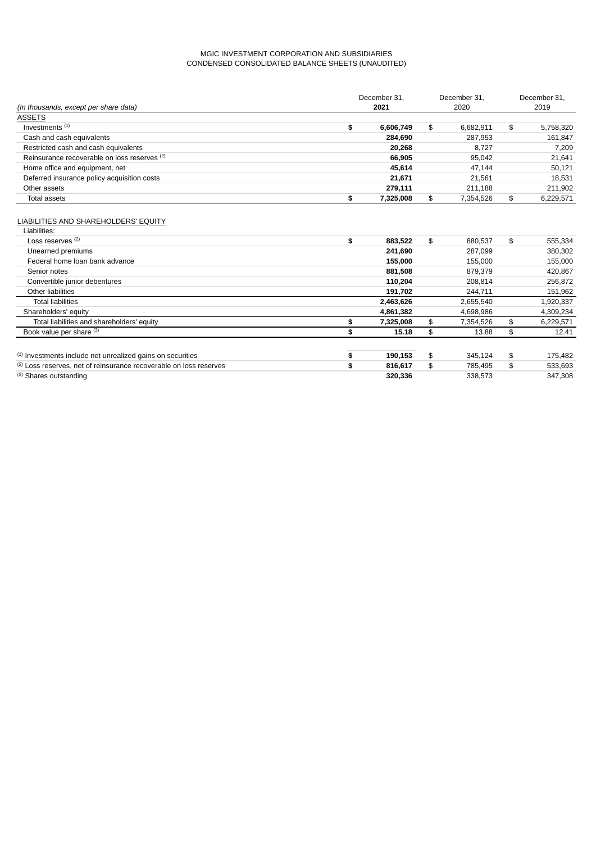# MGIC INVESTMENT CORPORATION AND SUBSIDIARIES CONDENSED CONSOLIDATED BALANCE SHEETS (UNAUDITED)

|                                              | December 31.    | December 31,    |    | December 31, |
|----------------------------------------------|-----------------|-----------------|----|--------------|
| (In thousands, except per share data)        | 2021            | 2020            |    | 2019         |
| <b>ASSETS</b>                                |                 |                 |    |              |
| Investments <sup>(1)</sup>                   | \$<br>6,606,749 | \$<br>6,682,911 | \$ | 5,758,320    |
| Cash and cash equivalents                    | 284,690         | 287,953         |    | 161,847      |
| Restricted cash and cash equivalents         | 20,268          | 8,727           |    | 7,209        |
| Reinsurance recoverable on loss reserves (2) | 66,905          | 95,042          |    | 21,641       |
| Home office and equipment, net               | 45,614          | 47,144          |    | 50,121       |
| Deferred insurance policy acquisition costs  | 21,671          | 21,561          |    | 18,531       |
| Other assets                                 | 279,111         | 211,188         |    | 211,902      |
| Total assets                                 | \$<br>7,325,008 | \$<br>7,354,526 | \$ | 6,229,571    |
|                                              |                 |                 |    |              |
| LIABILITIES AND SHAREHOLDERS' EQUITY         |                 |                 |    |              |
| Liabilities:                                 |                 |                 |    |              |
| Loss reserves <sup>(2)</sup>                 | \$<br>883,522   | \$<br>880,537   | \$ | 555,334      |
| Unearned premiums                            | 241,690         | 287,099         |    | 380,302      |
| Federal home loan bank advance               | 155,000         | 155,000         |    | 155,000      |
| Senior notes                                 | 881,508         | 879,379         |    | 420,867      |
| Convertible junior debentures                | 110,204         | 208,814         |    | 256,872      |
| Other liabilities                            | 191,702         | 244,711         |    | 151,962      |

| <b>Total liabilities</b>                                              | 2,463,626 | 2.655.540 |    | 1,920,337 |
|-----------------------------------------------------------------------|-----------|-----------|----|-----------|
| Shareholders' equity                                                  | 4.861.382 | 4,698,986 |    | 4,309,234 |
| Total liabilities and shareholders' equity                            | 7.325.008 | 7.354.526 | S  | 6,229,571 |
| Book value per share (3)                                              | 15.18     | 13.88     | \$ | 12.41     |
|                                                                       |           |           |    |           |
| <sup>(1)</sup> Investments include net unrealized gains on securities | 190.153   | 345.124   | \$ | 175.482   |
| (2) Loss reserves, net of reinsurance recoverable on loss reserves    | 816.617   | 785.495   | \$ | 533.693   |
| (3) Shares outstanding                                                | 320.336   | 338.573   |    | 347.308   |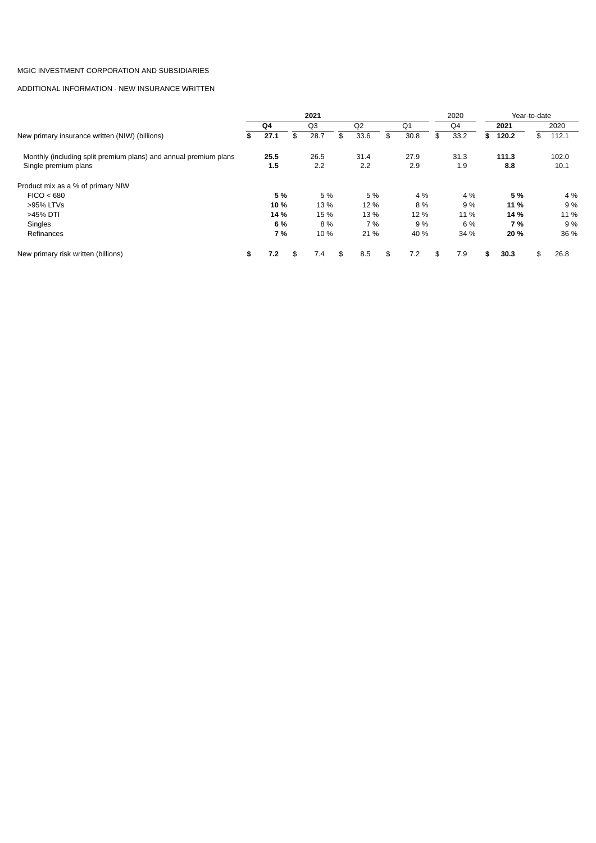# ADDITIONAL INFORMATION - NEW INSURANCE WRITTEN

|                                                                  |            | 2021           |                |     |                | 2020       |      |       | Year-to-date |       |
|------------------------------------------------------------------|------------|----------------|----------------|-----|----------------|------------|------|-------|--------------|-------|
|                                                                  | Q4         | Q <sub>3</sub> | O <sub>2</sub> |     | O <sub>1</sub> | Q4         | 2021 |       |              | 2020  |
| New primary insurance written (NIW) (billions)                   | \$<br>27.1 | \$<br>28.7     | \$<br>33.6     | \$. | 30.8           | \$<br>33.2 | S    | 120.2 | \$           | 112.1 |
| Monthly (including split premium plans) and annual premium plans | 25.5       | 26.5           | 31.4           |     | 27.9           | 31.3       |      | 111.3 |              | 102.0 |
| Single premium plans                                             | 1.5        | 2.2            | 2.2            |     | 2.9            | 1.9        |      | 8.8   |              | 10.1  |
| Product mix as a % of primary NIW                                |            |                |                |     |                |            |      |       |              |       |
| FICO < 680                                                       | 5 %        | 5 %            | 5 %            |     | 4 %            | 4 %        |      | 5 %   |              | 4 %   |
| >95% LTVs                                                        | 10 %       | 13 %           | 12 %           |     | 8%             | 9 %        |      | 11 %  |              | 9 %   |
| >45% DTI                                                         | 14 %       | 15 %           | 13 %           |     | 12 %           | 11 %       |      | 14 %  |              | 11 %  |
| <b>Singles</b>                                                   | 6 %        | 8%             | 7 %            |     | 9 %            | 6 %        |      | 7 %   |              | 9 %   |
| Refinances                                                       | 7 %        | 10 %           | 21 %           |     | 40 %           | 34 %       |      | 20 %  |              | 36 %  |
| New primary risk written (billions)                              | \$<br>7.2  | \$<br>7.4      | \$<br>8.5      | \$  | 7.2            | \$<br>7.9  | \$   | 30.3  | \$           | 26.8  |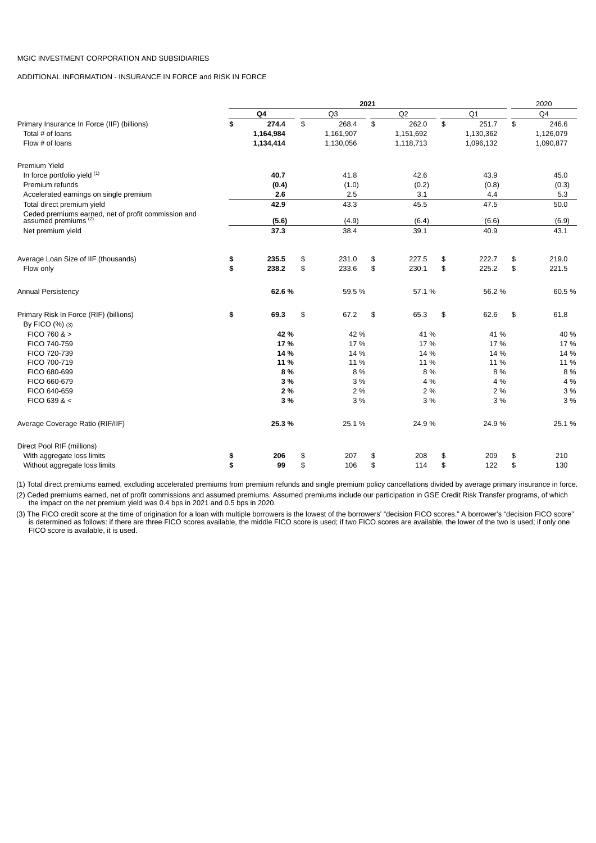ADDITIONAL INFORMATION - INSURANCE IN FORCE and RISK IN FORCE

|                                                                                 |             |                | 2021 |                |             | 2020           |
|---------------------------------------------------------------------------------|-------------|----------------|------|----------------|-------------|----------------|
|                                                                                 | Q4          | Q <sub>3</sub> |      | Q <sub>2</sub> | Q1          | O <sub>4</sub> |
| Primary Insurance In Force (IIF) (billions)                                     | \$<br>274.4 | \$<br>268.4    | \$   | 262.0          | \$<br>251.7 | \$<br>246.6    |
| Total # of loans                                                                | 1,164,984   | 1,161,907      |      | 1,151,692      | 1,130,362   | 1,126,079      |
| Flow $#$ of loans                                                               | 1,134,414   | 1,130,056      |      | 1,118,713      | 1,096,132   | 1,090,877      |
| Premium Yield                                                                   |             |                |      |                |             |                |
| In force portfolio yield (1)                                                    | 40.7        | 41.8           |      | 42.6           | 43.9        | 45.0           |
| Premium refunds                                                                 | (0.4)       | (1.0)          |      | (0.2)          | (0.8)       | (0.3)          |
| Accelerated earnings on single premium                                          | 2.6         | 2.5            |      | 3.1            | 4.4         | 5.3            |
| Total direct premium yield                                                      | 42.9        | 43.3           |      | 45.5           | 47.5        | 50.0           |
| Ceded premiums earned, net of profit commission and assumed premiums ${}^{(2)}$ | (5.6)       | (4.9)          |      | (6.4)          | (6.6)       | (6.9)          |
| Net premium yield                                                               | 37.3        | 38.4           |      | 39.1           | 40.9        | 43.1           |
| Average Loan Size of IIF (thousands)                                            | \$<br>235.5 | \$<br>231.0    | \$   | 227.5          | \$<br>222.7 | \$<br>219.0    |
| Flow only                                                                       | \$<br>238.2 | \$<br>233.6    | \$   | 230.1          | \$<br>225.2 | \$<br>221.5    |
| Annual Persistency                                                              | 62.6%       | 59.5%          |      | 57.1%          | 56.2%       | 60.5%          |
| Primary Risk In Force (RIF) (billions)                                          | \$<br>69.3  | \$<br>67.2     | \$   | 65.3           | \$<br>62.6  | \$<br>61.8     |
| By FICO (%) (3)                                                                 |             |                |      |                |             |                |
| FICO 760 $>$                                                                    | 42 %        | 42 %           |      | 41 %           | 41 %        | 40 %           |
| FICO 740-759                                                                    | 17%         | 17 %           |      | 17 %           | 17 %        | 17 %           |
| FICO 720-739                                                                    | 14 %        | 14 %           |      | 14 %           | 14 %        | 14 %           |
| FICO 700-719                                                                    | 11 %        | 11 %           |      | 11 %           | 11 %        | 11 %           |
| FICO 680-699                                                                    | 8%          | 8 %            |      | 8 %            | 8 %         | 8 %            |
| FICO 660-679                                                                    | 3%          | 3 %            |      | 4 %            | 4 %         | 4 %            |
| FICO 640-659                                                                    | 2 %         | 2 %            |      | 2 %            | 2 %         | 3 %            |
| FICO 639 & <                                                                    | 3 %         | 3 %            |      | 3 %            | 3 %         | 3 %            |
| Average Coverage Ratio (RIF/IIF)                                                | 25.3%       | 25.1%          |      | 24.9%          | 24.9%       | 25.1%          |
| Direct Pool RIF (millions)                                                      |             |                |      |                |             |                |
| With aggregate loss limits                                                      | \$<br>206   | \$<br>207      | \$   | 208            | \$<br>209   | \$<br>210      |
| Without aggregate loss limits                                                   | \$<br>99    | \$<br>106      | \$   | 114            | \$<br>122   | \$<br>130      |

(1) Total direct premiums earned, excluding accelerated premiums from premium refunds and single premium policy cancellations divided by average primary insurance in force. (2) Ceded premiums earned, net of profit commissions and assumed premiums. Assumed premiums include our participation in GSE Credit Risk Transfer programs, of which the impact on the net premium yield was 0.4 bps in 2021 and 0.5 bps in 2020.

(3) The FICO credit score at the time of origination for a loan with multiple borrowers is the lowest of the borrowers' "decision FICO scores." A borrower's "decision FICO score" is determined as follows: if there are three FICO scores available, the middle FICO score is used; if two FICO scores are available, the lower of the two is used; if only one FICO score is available, it is used.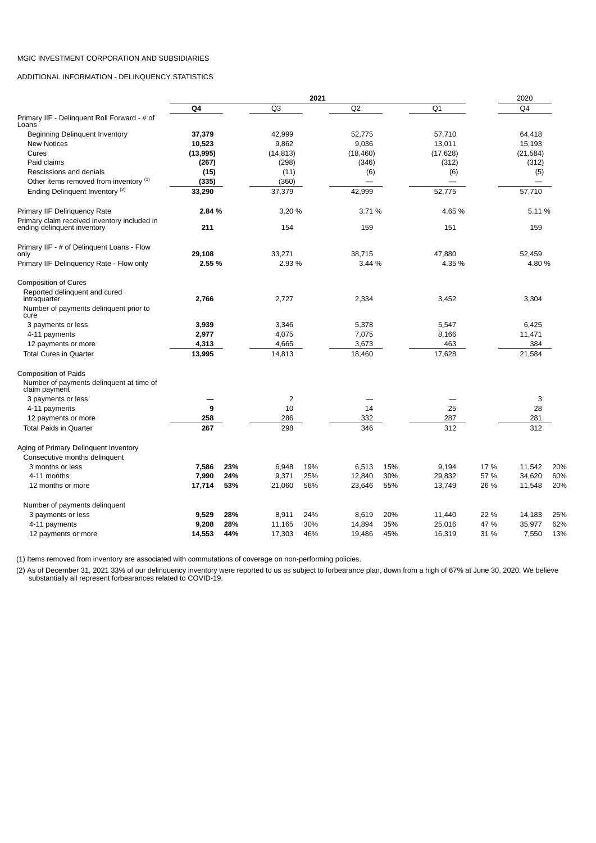ADDITIONAL INFORMATION - DELINQUENCY STATISTICS

|                                                                             | 2021            |     |                 |     |                  |     |                  |        | 2020                     |     |  |
|-----------------------------------------------------------------------------|-----------------|-----|-----------------|-----|------------------|-----|------------------|--------|--------------------------|-----|--|
|                                                                             | Q4              |     | Q <sub>3</sub>  |     | Q <sub>2</sub>   |     | Q1               |        | O <sub>4</sub>           |     |  |
| Primary IIF - Delinquent Roll Forward - # of<br>Loans                       |                 |     |                 |     |                  |     |                  |        |                          |     |  |
| Beginning Delinquent Inventory                                              | 37,379          |     | 42,999          |     | 52.775           |     | 57,710           |        | 64,418                   |     |  |
| <b>New Notices</b>                                                          | 10,523          |     | 9,862           |     | 9.036            |     | 13,011           |        | 15,193                   |     |  |
| Cures                                                                       | (13,995)        |     | (14, 813)       |     | (18, 460)        |     | (17, 628)        |        | (21, 584)                |     |  |
| Paid claims                                                                 | (267)           |     | (298)           |     | (346)            |     | (312)            |        | (312)                    |     |  |
| Rescissions and denials                                                     | (15)            |     | (11)            |     | (6)              |     | (6)              |        | (5)                      |     |  |
| Other items removed from inventory (1)                                      | (335)           |     | (360)           |     |                  |     |                  |        | $\overline{\phantom{0}}$ |     |  |
| Ending Delinquent Inventory <sup>(2)</sup>                                  | 33,290          |     | 37,379          |     | 42,999           |     | 52,775           |        | 57,710                   |     |  |
| Primary IIF Delinquency Rate                                                | 2.84 %          |     | 3.20 %          |     | 3.71 %           |     | 4.65 %           |        | 5.11 %                   |     |  |
| Primary claim received inventory included in<br>ending delinquent inventory | 211             |     | 154             |     | 159              |     | 151              |        | 159                      |     |  |
| Primary IIF - # of Delinguent Loans - Flow<br>only                          | 29,108          |     | 33,271          |     | 38,715           |     | 47,880           |        | 52,459                   |     |  |
| Primary IIF Delinguency Rate - Flow only                                    | 2.55 %          |     | 2.93 %          |     | 3.44 %           |     | 4.35 %           | 4.80 % |                          |     |  |
|                                                                             |                 |     |                 |     |                  |     |                  |        |                          |     |  |
| <b>Composition of Cures</b>                                                 |                 |     |                 |     |                  |     |                  |        |                          |     |  |
| Reported delinquent and cured<br>intraquarter                               | 2,766           |     | 2,727           |     | 2,334            |     | 3,452            |        | 3,304                    |     |  |
| Number of payments delinguent prior to<br>cure                              |                 |     |                 |     |                  |     |                  |        |                          |     |  |
| 3 payments or less                                                          | 3,939           |     | 3,346           |     | 5,378            |     | 5,547            |        | 6,425                    |     |  |
| 4-11 payments                                                               | 2,977           |     | 4,075           |     | 7,075            |     | 8,166            |        | 11,471                   |     |  |
| 12 payments or more                                                         | 4,313           |     | 4,665           |     | 3,673            |     | 463              |        | 384                      |     |  |
| <b>Total Cures in Quarter</b>                                               | 13,995          |     | 14,813          |     | 18,460           |     | 17,628           |        | 21,584                   |     |  |
| <b>Composition of Paids</b>                                                 |                 |     |                 |     |                  |     |                  |        |                          |     |  |
| Number of payments delinguent at time of<br>claim payment                   |                 |     |                 |     |                  |     |                  |        |                          |     |  |
| 3 payments or less                                                          |                 |     | $\overline{c}$  |     |                  |     |                  |        | 3                        |     |  |
| 4-11 payments                                                               | 9               |     | 10              |     | 14               |     | 25               |        | 28                       |     |  |
| 12 payments or more                                                         | 258             |     | 286             |     | 332              |     | 287              |        | 281                      |     |  |
| <b>Total Paids in Quarter</b>                                               | 267             |     | 298             |     | 346              |     | 312              |        | 312                      |     |  |
| Aging of Primary Delinquent Inventory                                       |                 |     |                 |     |                  |     |                  |        |                          |     |  |
| Consecutive months delinquent<br>3 months or less                           |                 | 23% |                 | 19% |                  | 15% |                  | 17 %   |                          | 20% |  |
|                                                                             | 7,586           | 24% | 6,948           | 25% | 6,513            | 30% | 9,194            | 57 %   | 11,542                   | 60% |  |
| 4-11 months<br>12 months or more                                            | 7,990<br>17,714 | 53% | 9,371<br>21,060 | 56% | 12,840<br>23,646 | 55% | 29,832<br>13,749 | 26 %   | 34,620<br>11,548         | 20% |  |
|                                                                             |                 |     |                 |     |                  |     |                  |        |                          |     |  |
| Number of payments delinguent                                               |                 |     |                 |     |                  |     |                  |        |                          |     |  |
| 3 payments or less                                                          | 9,529           | 28% | 8,911           | 24% | 8,619            | 20% | 11,440           | 22 %   | 14,183                   | 25% |  |
| 4-11 payments                                                               | 9,208           | 28% | 11,165          | 30% | 14,894           | 35% | 25,016           | 47 %   | 35,977                   | 62% |  |
| 12 payments or more                                                         | 14,553          | 44% | 17,303          | 46% | 19,486           | 45% | 16,319           | 31 %   | 7,550                    | 13% |  |

(1) Items removed from inventory are associated with commutations of coverage on non-performing policies.

(2) As of December 31, 2021 33% of our delinquency inventory were reported to us as subject to forbearance plan, down from a high of 67% at June 30, 2020. We believe substantially all represent forbearances related to COVID-19.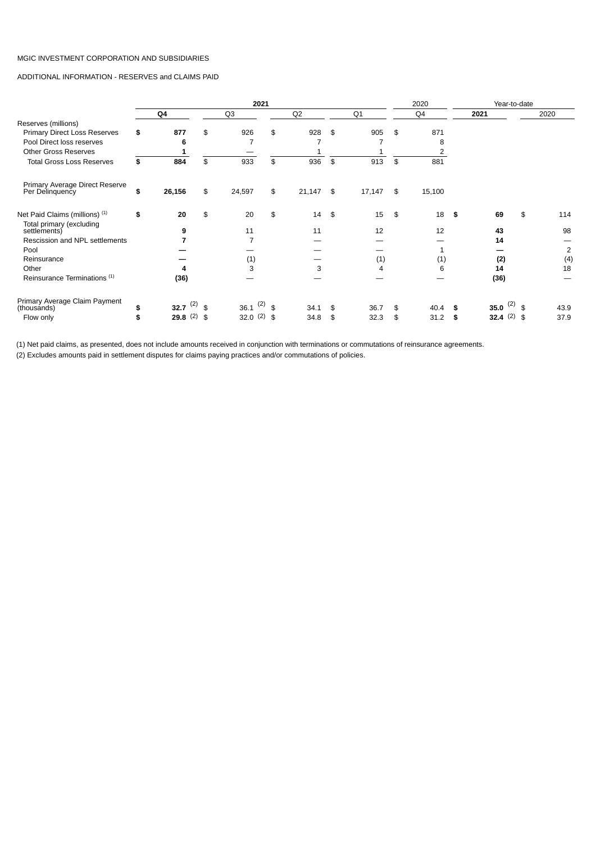ADDITIONAL INFORMATION - RESERVES and CLAIMS PAID

|                                                   |                     | 2021          |    | Year-to-date<br>2020 |              |              |    |                  |    |                |
|---------------------------------------------------|---------------------|---------------|----|----------------------|--------------|--------------|----|------------------|----|----------------|
|                                                   | Q4                  | Q3            |    | Q <sub>2</sub>       | Q1           | Q4           |    | 2021             |    | 2020           |
| Reserves (millions)                               |                     |               |    |                      |              |              |    |                  |    |                |
| Primary Direct Loss Reserves                      | \$<br>877           | \$<br>926     | \$ | 928                  | \$<br>905    | \$<br>871    |    |                  |    |                |
| Pool Direct loss reserves                         | 6                   |               |    | 7                    |              | 8            |    |                  |    |                |
| <b>Other Gross Reserves</b>                       |                     |               |    |                      |              |              |    |                  |    |                |
| <b>Total Gross Loss Reserves</b>                  | \$<br>884           | \$<br>933     | \$ | 936                  | \$<br>913    | \$<br>881    |    |                  |    |                |
| Primary Average Direct Reserve<br>Per Delinquency | \$<br>26,156        | \$<br>24,597  | \$ | 21,147               | \$<br>17,147 | \$<br>15,100 |    |                  |    |                |
| Net Paid Claims (millions) (1)                    | \$<br>20            | \$<br>20      | \$ | 14                   | \$<br>15     | \$<br>18     | \$ | 69               | \$ | 114            |
| Total primary (excluding<br>settlements)          | 9                   | 11            |    | 11                   | 12           | 12           |    | 43               |    | 98             |
| Rescission and NPL settlements                    | 7                   |               |    |                      |              |              |    | 14               |    |                |
| Pool                                              |                     |               |    |                      |              |              |    |                  |    | $\overline{c}$ |
| Reinsurance                                       |                     | (1)           |    |                      | (1)          | (1)          |    | (2)              |    | (4)            |
| Other                                             | 4                   | 3             |    | 3                    | 4            | 6            |    | 14               |    | 18             |
| Reinsurance Terminations <sup>(1)</sup>           | (36)                |               |    |                      |              |              |    | (36)             |    |                |
| Primary Average Claim Payment<br>(thousands)      | \$<br>32.7 $(2)$ \$ | 36.1 $(2)$ \$ |    | 34.1                 | \$<br>36.7   | \$<br>40.4   | \$ | $(2)$ \$<br>35.0 |    | 43.9           |
| Flow only                                         | \$<br>29.8(2)       | \$<br>32.0(2) | \$ | 34.8                 | \$<br>32.3   | \$<br>31.2   | \$ | 32.4 $(2)$ \$    |    | 37.9           |

(1) Net paid claims, as presented, does not include amounts received in conjunction with terminations or commutations of reinsurance agreements.

(2) Excludes amounts paid in settlement disputes for claims paying practices and/or commutations of policies.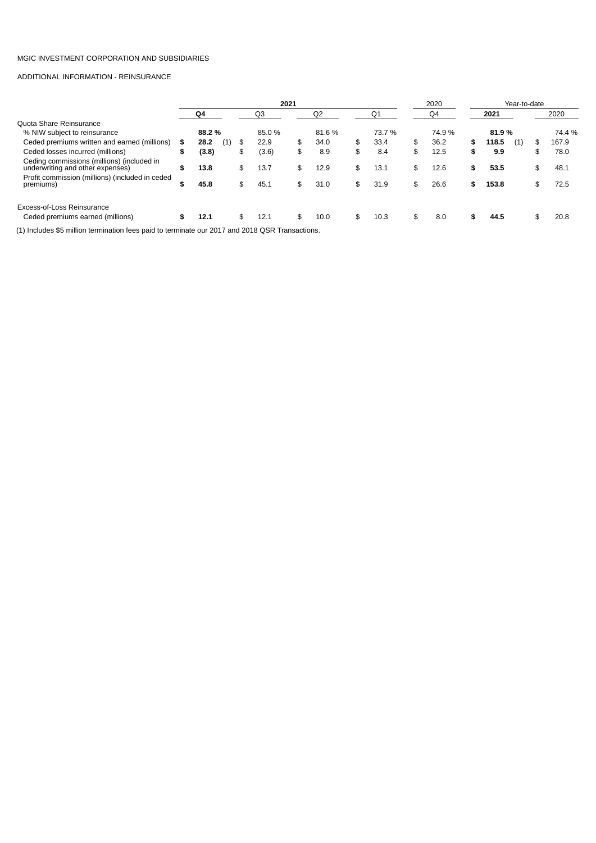# ADDITIONAL INFORMATION - REINSURANCE

|                                                                                                            |        | 2021   |     |     |       |    |                |     | 2020   | Year-to-date |    |       |     |    |        |
|------------------------------------------------------------------------------------------------------------|--------|--------|-----|-----|-------|----|----------------|-----|--------|--------------|----|-------|-----|----|--------|
|                                                                                                            |        | Q4     |     |     | Q3    |    | Q <sub>2</sub> |     | O1     | Q4           |    | 2021  |     |    | 2020   |
| Quota Share Reinsurance                                                                                    |        |        |     |     |       |    |                |     |        |              |    |       |     |    |        |
| % NIW subject to reinsurance                                                                               |        | 88.2 % |     |     | 85.0% |    | 81.6%          |     | 73.7 % | 74.9 %       |    | 81.9% |     |    | 74.4 % |
| Ceded premiums written and earned (millions)                                                               | \$     | 28.2   | (1) | \$  | 22.9  | \$ | 34.0           | \$  | 33.4   | \$<br>36.2   | \$ | 118.5 | (1) | S  | 167.9  |
| Ceded losses incurred (millions)                                                                           | \$     | (3.8)  |     | \$  | (3.6) | \$ | 8.9            | \$  | 8.4    | \$<br>12.5   | \$ | 9.9   |     | \$ | 78.0   |
| Ceding commissions (millions) (included in<br>underwriting and other expenses)                             | \$     | 13.8   |     | \$  | 13.7  | \$ | 12.9           | \$. | 13.1   | \$<br>12.6   | \$ | 53.5  |     |    | 48.1   |
| Profit commission (millions) (included in ceded<br>premiums)                                               | œ<br>ъ | 45.8   |     | \$  | 45.1  | \$ | 31.0           | \$  | 31.9   | \$<br>26.6   | \$ | 153.8 |     |    | 72.5   |
| Excess-of-Loss Reinsurance<br>Ceded premiums earned (millions)                                             | s      | 12.1   |     | \$. | 12.1  | \$ | 10.0           | \$  | 10.3   | \$<br>8.0    | \$ | 44.5  |     | S  | 20.8   |
| (4) lealized at the collins to second the face said to the second are now 2017 and 2010 OCD Treasonational |        |        |     |     |       |    |                |     |        |              |    |       |     |    |        |

(1) Includes \$5 million termination fees paid to terminate our 2017 and 2018 QSR Transactions.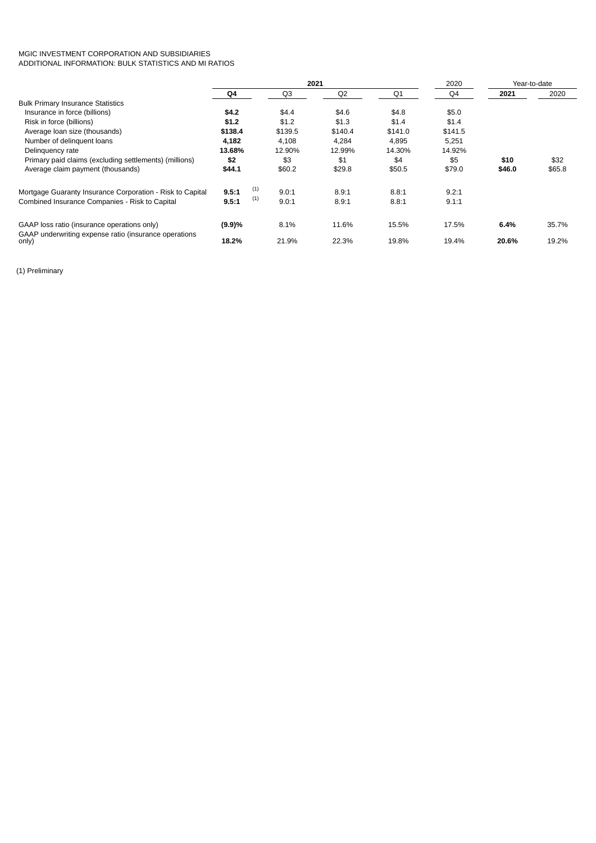# MGIC INVESTMENT CORPORATION AND SUBSIDIARIES ADDITIONAL INFORMATION: BULK STATISTICS AND MI RATIOS

|                                                           |         |     |         | 2021           | 2020    | Year-to-date |        |        |  |
|-----------------------------------------------------------|---------|-----|---------|----------------|---------|--------------|--------|--------|--|
|                                                           | Q4      |     | Q3      | Q <sub>2</sub> | Q1      | Q4           | 2021   | 2020   |  |
| <b>Bulk Primary Insurance Statistics</b>                  |         |     |         |                |         |              |        |        |  |
| Insurance in force (billions)                             | \$4.2   |     | \$4.4   | \$4.6          | \$4.8   | \$5.0        |        |        |  |
| Risk in force (billions)                                  | \$1.2   |     | \$1.2   | \$1.3          | \$1.4   | \$1.4        |        |        |  |
| Average loan size (thousands)                             | \$138.4 |     | \$139.5 | \$140.4        | \$141.0 | \$141.5      |        |        |  |
| Number of delinguent loans                                | 4,182   |     | 4,108   | 4,284          | 4,895   | 5,251        |        |        |  |
| Delinguency rate                                          | 13.68%  |     | 12.90%  | 12.99%         | 14.30%  | 14.92%       |        |        |  |
| Primary paid claims (excluding settlements) (millions)    | \$2     |     | \$3     | \$1            | \$4     | \$5          | \$10   | \$32   |  |
| Average claim payment (thousands)                         | \$44.1  |     | \$60.2  | \$29.8         | \$50.5  | \$79.0       | \$46.0 | \$65.8 |  |
| Mortgage Guaranty Insurance Corporation - Risk to Capital | 9.5:1   | (1) | 9.0:1   | 8.9:1          | 8.8:1   | 9.2:1        |        |        |  |
| Combined Insurance Companies - Risk to Capital            | 9.5:1   | (1) | 9.0:1   | 8.9:1          | 8.8:1   | 9.1:1        |        |        |  |
| GAAP loss ratio (insurance operations only)               | (9.9)%  |     | 8.1%    | 11.6%          | 15.5%   | 17.5%        | 6.4%   | 35.7%  |  |
| GAAP underwriting expense ratio (insurance operations     |         |     |         |                |         |              |        |        |  |
| only)                                                     | 18.2%   |     | 21.9%   | 22.3%          | 19.8%   | 19.4%        | 20.6%  | 19.2%  |  |

(1) Preliminary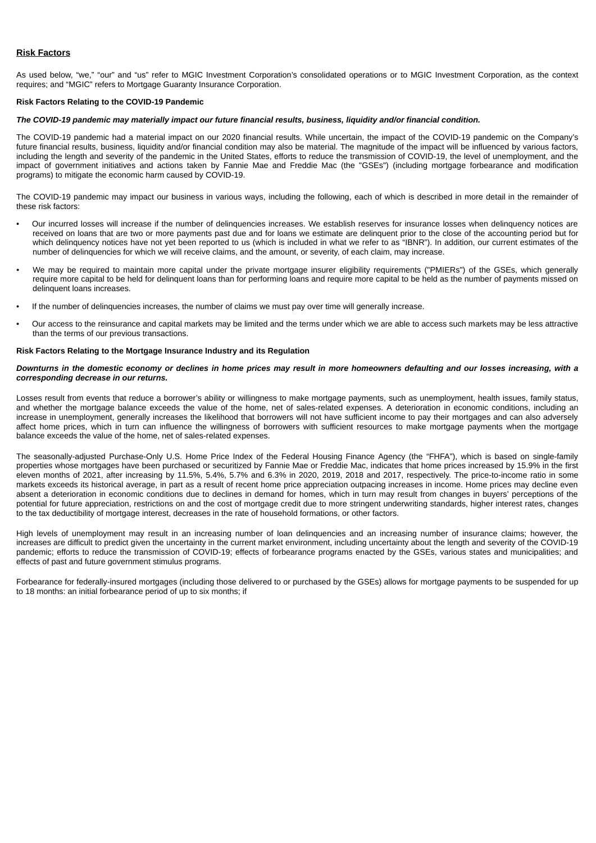# **Risk Factors**

As used below, "we," "our" and "us" refer to MGIC Investment Corporation's consolidated operations or to MGIC Investment Corporation, as the context requires; and "MGIC" refers to Mortgage Guaranty Insurance Corporation.

## **Risk Factors Relating to the COVID-19 Pandemic**

## *The COVID-19 pandemic may materially impact our future financial results, business, liquidity and/or financial condition.*

The COVID-19 pandemic had a material impact on our 2020 financial results. While uncertain, the impact of the COVID-19 pandemic on the Company's future financial results, business, liquidity and/or financial condition may also be material. The magnitude of the impact will be influenced by various factors, including the length and severity of the pandemic in the United States, efforts to reduce the transmission of COVID-19, the level of unemployment, and the impact of government initiatives and actions taken by Fannie Mae and Freddie Mac (the "GSEs") (including mortgage forbearance and modification programs) to mitigate the economic harm caused by COVID-19.

The COVID-19 pandemic may impact our business in various ways, including the following, each of which is described in more detail in the remainder of these risk factors:

- Our incurred losses will increase if the number of delinquencies increases. We establish reserves for insurance losses when delinquency notices are received on loans that are two or more payments past due and for loans we estimate are delinquent prior to the close of the accounting period but for which delinguency notices have not yet been reported to us (which is included in what we refer to as "IBNR"). In addition, our current estimates of the number of delinquencies for which we will receive claims, and the amount, or severity, of each claim, may increase.
- *•* We may be required to maintain more capital under the private mortgage insurer eligibility requirements ("PMIERs") of the GSEs, which generally require more capital to be held for delinquent loans than for performing loans and require more capital to be held as the number of payments missed on delinquent loans increases.
- If the number of delinquencies increases, the number of claims we must pay over time will generally increase.
- Our access to the reinsurance and capital markets may be limited and the terms under which we are able to access such markets may be less attractive than the terms of our previous transactions.

#### **Risk Factors Relating to the Mortgage Insurance Industry and its Regulation**

## *Downturns in the domestic economy or declines in home prices may result in more homeowners defaulting and our losses increasing, with a corresponding decrease in our returns.*

Losses result from events that reduce a borrower's ability or willingness to make mortgage payments, such as unemployment, health issues, family status, and whether the mortgage balance exceeds the value of the home, net of sales-related expenses. A deterioration in economic conditions, including an increase in unemployment, generally increases the likelihood that borrowers will not have sufficient income to pay their mortgages and can also adversely affect home prices, which in turn can influence the willingness of borrowers with sufficient resources to make mortgage payments when the mortgage balance exceeds the value of the home, net of sales-related expenses.

The seasonally-adjusted Purchase-Only U.S. Home Price Index of the Federal Housing Finance Agency (the "FHFA"), which is based on single-family properties whose mortgages have been purchased or securitized by Fannie Mae or Freddie Mac, indicates that home prices increased by 15.9% in the first eleven months of 2021, after increasing by 11.5%, 5.4%, 5.7% and 6.3% in 2020, 2019, 2018 and 2017, respectively. The price-to-income ratio in some markets exceeds its historical average, in part as a result of recent home price appreciation outpacing increases in income. Home prices may decline even absent a deterioration in economic conditions due to declines in demand for homes, which in turn may result from changes in buyers' perceptions of the potential for future appreciation, restrictions on and the cost of mortgage credit due to more stringent underwriting standards, higher interest rates, changes to the tax deductibility of mortgage interest, decreases in the rate of household formations, or other factors.

High levels of unemployment may result in an increasing number of loan delinquencies and an increasing number of insurance claims; however, the increases are difficult to predict given the uncertainty in the current market environment, including uncertainty about the length and severity of the COVID-19 pandemic; efforts to reduce the transmission of COVID-19; effects of forbearance programs enacted by the GSEs, various states and municipalities; and effects of past and future government stimulus programs.

Forbearance for federally-insured mortgages (including those delivered to or purchased by the GSEs) allows for mortgage payments to be suspended for up to 18 months: an initial forbearance period of up to six months; if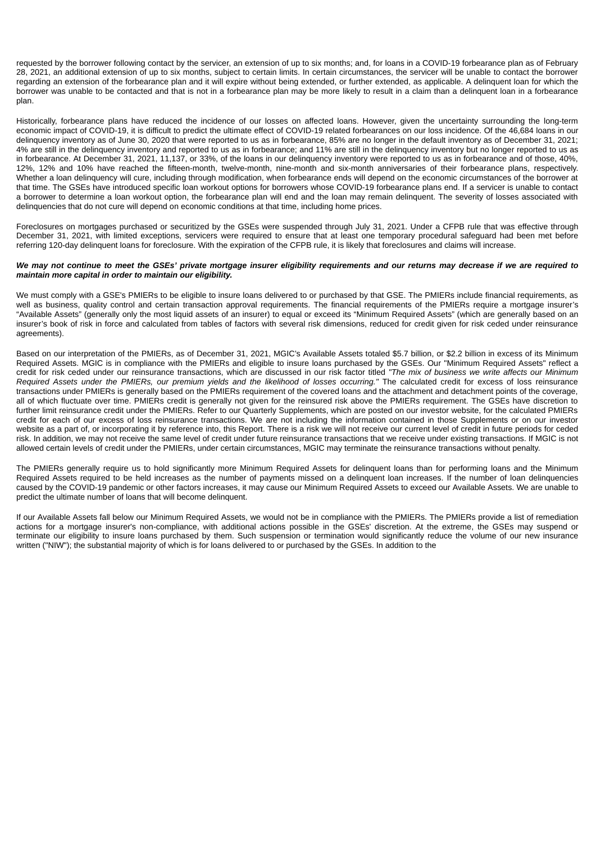requested by the borrower following contact by the servicer, an extension of up to six months; and, for loans in a COVID-19 forbearance plan as of February 28, 2021, an additional extension of up to six months, subject to certain limits. In certain circumstances, the servicer will be unable to contact the borrower regarding an extension of the forbearance plan and it will expire without being extended, or further extended, as applicable. A delinquent loan for which the borrower was unable to be contacted and that is not in a forbearance plan may be more likely to result in a claim than a delinquent loan in a forbearance plan.

Historically, forbearance plans have reduced the incidence of our losses on affected loans. However, given the uncertainty surrounding the long-term economic impact of COVID-19, it is difficult to predict the ultimate effect of COVID-19 related forbearances on our loss incidence. Of the 46,684 loans in our delinquency inventory as of June 30, 2020 that were reported to us as in forbearance, 85% are no longer in the default inventory as of December 31, 2021; 4% are still in the delinquency inventory and reported to us as in forbearance; and 11% are still in the delinquency inventory but no longer reported to us as in forbearance. At December 31, 2021, 11,137, or 33%, of the loans in our delinquency inventory were reported to us as in forbearance and of those, 40%, 12%, 12% and 10% have reached the fifteen-month, twelve-month, nine-month and six-month anniversaries of their forbearance plans, respectively. Whether a loan delinquency will cure, including through modification, when forbearance ends will depend on the economic circumstances of the borrower at that time. The GSEs have introduced specific loan workout options for borrowers whose COVID-19 forbearance plans end. If a servicer is unable to contact a borrower to determine a loan workout option, the forbearance plan will end and the loan may remain delinquent. The severity of losses associated with delinquencies that do not cure will depend on economic conditions at that time, including home prices.

Foreclosures on mortgages purchased or securitized by the GSEs were suspended through July 31, 2021. Under a CFPB rule that was effective through December 31, 2021, with limited exceptions, servicers were required to ensure that at least one temporary procedural safeguard had been met before referring 120-day delinquent loans for foreclosure. With the expiration of the CFPB rule, it is likely that foreclosures and claims will increase.

#### *We may not continue to meet the GSEs' private mortgage insurer eligibility requirements and our returns may decrease if we are required to maintain more capital in order to maintain our eligibility.*

We must comply with a GSE's PMIERs to be eligible to insure loans delivered to or purchased by that GSE. The PMIERs include financial requirements, as well as business, quality control and certain transaction approval requirements. The financial requirements of the PMIERs require a mortgage insurer's "Available Assets" (generally only the most liquid assets of an insurer) to equal or exceed its "Minimum Required Assets" (which are generally based on an insurer's book of risk in force and calculated from tables of factors with several risk dimensions, reduced for credit given for risk ceded under reinsurance agreements).

Based on our interpretation of the PMIERs, as of December 31, 2021, MGIC's Available Assets totaled \$5.7 billion, or \$2.2 billion in excess of its Minimum Required Assets. MGIC is in compliance with the PMIERs and eligible to insure loans purchased by the GSEs. Our "Minimum Required Assets" reflect a credit for risk ceded under our reinsurance transactions, which are discussed in our risk factor titled *"The mix of business we write affects our Minimum Required Assets under the PMIERs, our premium yields and the likelihood of losses occurring."* The calculated credit for excess of loss reinsurance transactions under PMIERs is generally based on the PMIERs requirement of the covered loans and the attachment and detachment points of the coverage, all of which fluctuate over time. PMIERs credit is generally not given for the reinsured risk above the PMIERs requirement. The GSEs have discretion to further limit reinsurance credit under the PMIERs. Refer to our Quarterly Supplements, which are posted on our investor website, for the calculated PMIERs credit for each of our excess of loss reinsurance transactions. We are not including the information contained in those Supplements or on our investor website as a part of, or incorporating it by reference into, this Report. There is a risk we will not receive our current level of credit in future periods for ceded risk. In addition, we may not receive the same level of credit under future reinsurance transactions that we receive under existing transactions. If MGIC is not allowed certain levels of credit under the PMIERs, under certain circumstances, MGIC may terminate the reinsurance transactions without penalty.

The PMIERs generally require us to hold significantly more Minimum Required Assets for delinquent loans than for performing loans and the Minimum Required Assets required to be held increases as the number of payments missed on a delinquent loan increases. If the number of loan delinquencies caused by the COVID-19 pandemic or other factors increases, it may cause our Minimum Required Assets to exceed our Available Assets. We are unable to predict the ultimate number of loans that will become delinquent.

If our Available Assets fall below our Minimum Required Assets, we would not be in compliance with the PMIERs. The PMIERs provide a list of remediation actions for a mortgage insurer's non-compliance, with additional actions possible in the GSEs' discretion. At the extreme, the GSEs may suspend or terminate our eligibility to insure loans purchased by them. Such suspension or termination would significantly reduce the volume of our new insurance written ("NIW"); the substantial majority of which is for loans delivered to or purchased by the GSEs. In addition to the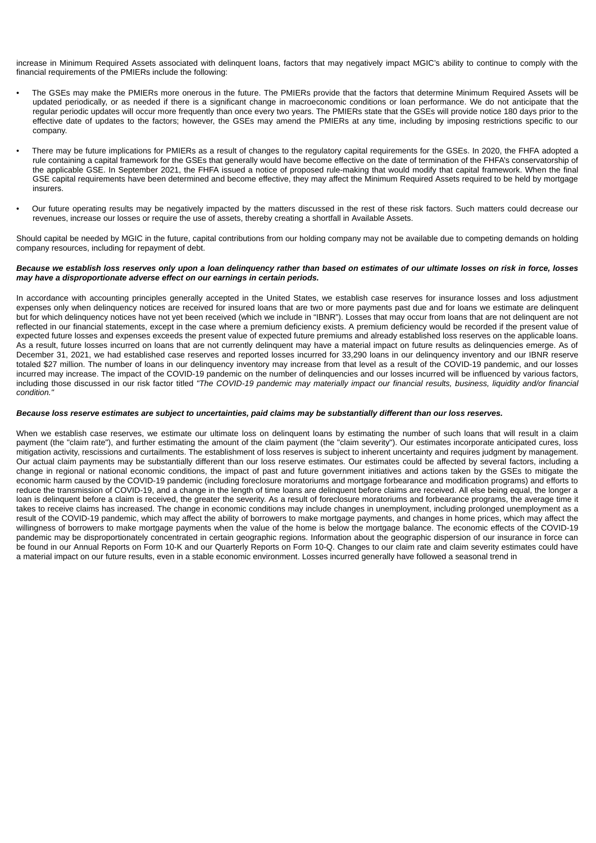increase in Minimum Required Assets associated with delinquent loans, factors that may negatively impact MGIC's ability to continue to comply with the financial requirements of the PMIERs include the following:

- The GSEs may make the PMIERs more onerous in the future. The PMIERs provide that the factors that determine Minimum Required Assets will be updated periodically, or as needed if there is a significant change in macroeconomic conditions or loan performance. We do not anticipate that the regular periodic updates will occur more frequently than once every two years. The PMIERs state that the GSEs will provide notice 180 days prior to the effective date of updates to the factors; however, the GSEs may amend the PMIERs at any time, including by imposing restrictions specific to our company.
- There may be future implications for PMIERs as a result of changes to the regulatory capital requirements for the GSEs. In 2020, the FHFA adopted a rule containing a capital framework for the GSEs that generally would have become effective on the date of termination of the FHFA's conservatorship of the applicable GSE. In September 2021, the FHFA issued a notice of proposed rule-making that would modify that capital framework. When the final GSE capital requirements have been determined and become effective, they may affect the Minimum Required Assets required to be held by mortgage insurers.
- Our future operating results may be negatively impacted by the matters discussed in the rest of these risk factors. Such matters could decrease our revenues, increase our losses or require the use of assets, thereby creating a shortfall in Available Assets.

Should capital be needed by MGIC in the future, capital contributions from our holding company may not be available due to competing demands on holding company resources, including for repayment of debt.

#### *Because we establish loss reserves only upon a loan delinquency rather than based on estimates of our ultimate losses on risk in force, losses may have a disproportionate adverse effect on our earnings in certain periods.*

In accordance with accounting principles generally accepted in the United States, we establish case reserves for insurance losses and loss adjustment expenses only when delinquency notices are received for insured loans that are two or more payments past due and for loans we estimate are delinquent but for which delinquency notices have not yet been received (which we include in "IBNR"). Losses that may occur from loans that are not delinquent are not reflected in our financial statements, except in the case where a premium deficiency exists. A premium deficiency would be recorded if the present value of expected future losses and expenses exceeds the present value of expected future premiums and already established loss reserves on the applicable loans. As a result, future losses incurred on loans that are not currently delinquent may have a material impact on future results as delinquencies emerge. As of December 31, 2021, we had established case reserves and reported losses incurred for 33,290 loans in our delinquency inventory and our IBNR reserve totaled \$27 million. The number of loans in our delinquency inventory may increase from that level as a result of the COVID-19 pandemic, and our losses incurred may increase. The impact of the COVID-19 pandemic on the number of delinquencies and our losses incurred will be influenced by various factors, including those discussed in our risk factor titled *"The COVID-19 pandemic may materially impact our financial results, business, liquidity and/or financial condition."*

## *Because loss reserve estimates are subject to uncertainties, paid claims may be substantially different than our loss reserves.*

When we establish case reserves, we estimate our ultimate loss on delinquent loans by estimating the number of such loans that will result in a claim payment (the "claim rate"), and further estimating the amount of the claim payment (the "claim severity"). Our estimates incorporate anticipated cures, loss mitigation activity, rescissions and curtailments. The establishment of loss reserves is subject to inherent uncertainty and requires judgment by management. Our actual claim payments may be substantially different than our loss reserve estimates. Our estimates could be affected by several factors, including a change in regional or national economic conditions, the impact of past and future government initiatives and actions taken by the GSEs to mitigate the economic harm caused by the COVID-19 pandemic (including foreclosure moratoriums and mortgage forbearance and modification programs) and efforts to reduce the transmission of COVID-19, and a change in the length of time loans are delinquent before claims are received. All else being equal, the longer a loan is delinquent before a claim is received, the greater the severity. As a result of foreclosure moratoriums and forbearance programs, the average time it takes to receive claims has increased. The change in economic conditions may include changes in unemployment, including prolonged unemployment as a result of the COVID-19 pandemic, which may affect the ability of borrowers to make mortgage payments, and changes in home prices, which may affect the willingness of borrowers to make mortgage payments when the value of the home is below the mortgage balance. The economic effects of the COVID-19 pandemic may be disproportionately concentrated in certain geographic regions. Information about the geographic dispersion of our insurance in force can be found in our Annual Reports on Form 10-K and our Quarterly Reports on Form 10-Q. Changes to our claim rate and claim severity estimates could have a material impact on our future results, even in a stable economic environment. Losses incurred generally have followed a seasonal trend in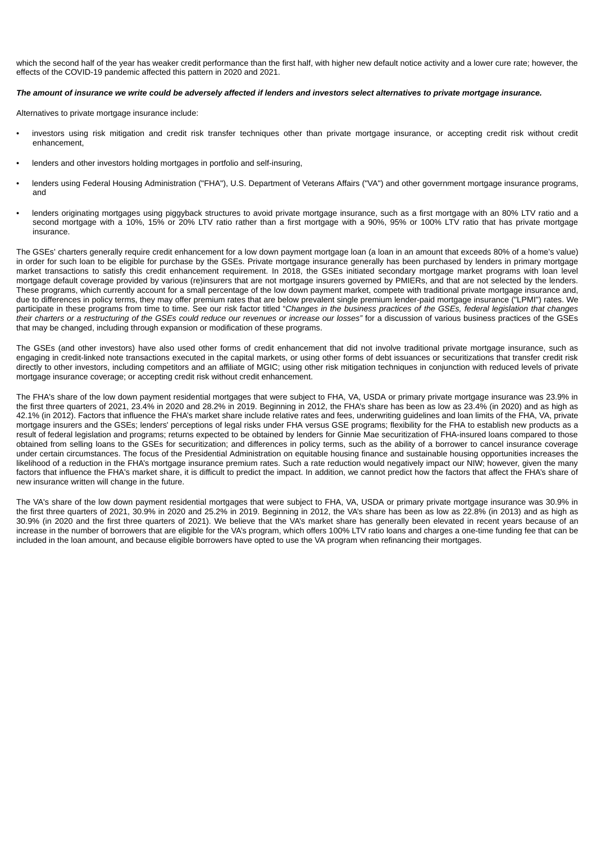which the second half of the year has weaker credit performance than the first half, with higher new default notice activity and a lower cure rate; however, the effects of the COVID-19 pandemic affected this pattern in 2020 and 2021.

# *The amount of insurance we write could be adversely affected if lenders and investors select alternatives to private mortgage insurance.*

Alternatives to private mortgage insurance include:

- investors using risk mitigation and credit risk transfer techniques other than private mortgage insurance, or accepting credit risk without credit enhancement,
- lenders and other investors holding mortgages in portfolio and self-insuring,
- lenders using Federal Housing Administration ("FHA"), U.S. Department of Veterans Affairs ("VA") and other government mortgage insurance programs, and
- lenders originating mortgages using piggyback structures to avoid private mortgage insurance, such as a first mortgage with an 80% LTV ratio and a second mortgage with a 10%, 15% or 20% LTV ratio rather than a first mortgage with a 90%, 95% or 100% LTV ratio that has private mortgage insurance.

The GSEs' charters generally require credit enhancement for a low down payment mortgage loan (a loan in an amount that exceeds 80% of a home's value) in order for such loan to be eligible for purchase by the GSEs. Private mortgage insurance generally has been purchased by lenders in primary mortgage market transactions to satisfy this credit enhancement requirement. In 2018, the GSEs initiated secondary mortgage market programs with loan level mortgage default coverage provided by various (re)insurers that are not mortgage insurers governed by PMIERs, and that are not selected by the lenders. These programs, which currently account for a small percentage of the low down payment market, compete with traditional private mortgage insurance and, due to differences in policy terms, they may offer premium rates that are below prevalent single premium lender-paid mortgage insurance ("LPMI") rates. We participate in these programs from time to time. See our risk factor titled "*Changes in the business practices of the GSEs, federal legislation that changes their charters or a restructuring of the GSEs could reduce our revenues or increase our losses"* for a discussion of various business practices of the GSEs that may be changed, including through expansion or modification of these programs.

The GSEs (and other investors) have also used other forms of credit enhancement that did not involve traditional private mortgage insurance, such as engaging in credit-linked note transactions executed in the capital markets, or using other forms of debt issuances or securitizations that transfer credit risk directly to other investors, including competitors and an affiliate of MGIC; using other risk mitigation techniques in conjunction with reduced levels of private mortgage insurance coverage; or accepting credit risk without credit enhancement.

The FHA's share of the low down payment residential mortgages that were subject to FHA, VA, USDA or primary private mortgage insurance was 23.9% in the first three quarters of 2021, 23.4% in 2020 and 28.2% in 2019. Beginning in 2012, the FHA's share has been as low as 23.4% (in 2020) and as high as 42.1% (in 2012). Factors that influence the FHA's market share include relative rates and fees, underwriting guidelines and loan limits of the FHA, VA, private mortgage insurers and the GSEs; lenders' perceptions of legal risks under FHA versus GSE programs; flexibility for the FHA to establish new products as a result of federal legislation and programs; returns expected to be obtained by lenders for Ginnie Mae securitization of FHA-insured loans compared to those obtained from selling loans to the GSEs for securitization; and differences in policy terms, such as the ability of a borrower to cancel insurance coverage under certain circumstances. The focus of the Presidential Administration on equitable housing finance and sustainable housing opportunities increases the likelihood of a reduction in the FHA's mortgage insurance premium rates. Such a rate reduction would negatively impact our NIW; however, given the many factors that influence the FHA's market share, it is difficult to predict the impact. In addition, we cannot predict how the factors that affect the FHA's share of new insurance written will change in the future.

The VA's share of the low down payment residential mortgages that were subject to FHA, VA, USDA or primary private mortgage insurance was 30.9% in the first three quarters of 2021, 30.9% in 2020 and 25.2% in 2019. Beginning in 2012, the VA's share has been as low as 22.8% (in 2013) and as high as 30.9% (in 2020 and the first three quarters of 2021). We believe that the VA's market share has generally been elevated in recent years because of an increase in the number of borrowers that are eligible for the VA's program, which offers 100% LTV ratio loans and charges a one-time funding fee that can be included in the loan amount, and because eligible borrowers have opted to use the VA program when refinancing their mortgages.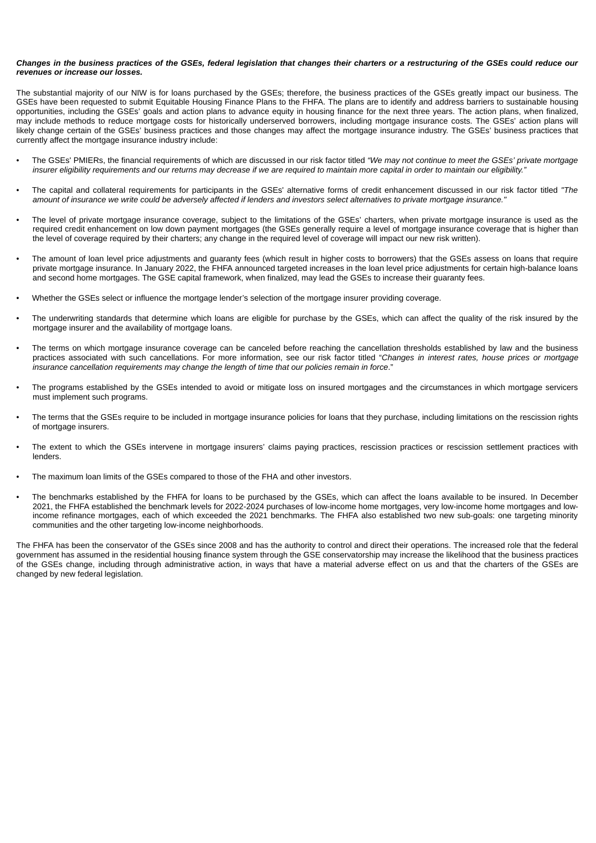#### *Changes in the business practices of the GSEs, federal legislation that changes their charters or a restructuring of the GSEs could reduce our revenues or increase our losses.*

The substantial majority of our NIW is for loans purchased by the GSEs; therefore, the business practices of the GSEs greatly impact our business. The GSEs have been requested to submit Equitable Housing Finance Plans to the FHFA. The plans are to identify and address barriers to sustainable housing opportunities, including the GSEs' goals and action plans to advance equity in housing finance for the next three years. The action plans, when finalized, may include methods to reduce mortgage costs for historically underserved borrowers, including mortgage insurance costs. The GSEs' action plans will likely change certain of the GSEs' business practices and those changes may affect the mortgage insurance industry. The GSEs' business practices that currently affect the mortgage insurance industry include:

- The GSEs' PMIERs, the financial requirements of which are discussed in our risk factor titled *"We may not continue to meet the GSEs' private mortgage insurer eligibility requirements and our returns may decrease if we are required to maintain more capital in order to maintain our eligibility."*
- The capital and collateral requirements for participants in the GSEs' alternative forms of credit enhancement discussed in our risk factor titled *"The amount of insurance we write could be adversely affected if lenders and investors select alternatives to private mortgage insurance."*
- The level of private mortgage insurance coverage, subject to the limitations of the GSEs' charters, when private mortgage insurance is used as the required credit enhancement on low down payment mortgages (the GSEs generally require a level of mortgage insurance coverage that is higher than the level of coverage required by their charters; any change in the required level of coverage will impact our new risk written).
- The amount of loan level price adjustments and guaranty fees (which result in higher costs to borrowers) that the GSEs assess on loans that require private mortgage insurance. In January 2022, the FHFA announced targeted increases in the loan level price adjustments for certain high-balance loans and second home mortgages. The GSE capital framework, when finalized, may lead the GSEs to increase their guaranty fees.
- Whether the GSEs select or influence the mortgage lender's selection of the mortgage insurer providing coverage.
- The underwriting standards that determine which loans are eligible for purchase by the GSEs, which can affect the quality of the risk insured by the mortgage insurer and the availability of mortgage loans.
- The terms on which mortgage insurance coverage can be canceled before reaching the cancellation thresholds established by law and the business practices associated with such cancellations. For more information, see our risk factor titled "*Changes in interest rates, house prices or mortgage insurance cancellation requirements may change the length of time that our policies remain in force*."
- The programs established by the GSEs intended to avoid or mitigate loss on insured mortgages and the circumstances in which mortgage servicers must implement such programs.
- The terms that the GSEs require to be included in mortgage insurance policies for loans that they purchase, including limitations on the rescission rights of mortgage insurers.
- The extent to which the GSEs intervene in mortgage insurers' claims paying practices, rescission practices or rescission settlement practices with lenders.
- The maximum loan limits of the GSEs compared to those of the FHA and other investors.
- The benchmarks established by the FHFA for loans to be purchased by the GSEs, which can affect the loans available to be insured. In December 2021, the FHFA established the benchmark levels for 2022-2024 purchases of low-income home mortgages, very low-income home mortgages and lowincome refinance mortgages, each of which exceeded the 2021 benchmarks. The FHFA also established two new sub-goals: one targeting minority communities and the other targeting low-income neighborhoods.

The FHFA has been the conservator of the GSEs since 2008 and has the authority to control and direct their operations. The increased role that the federal government has assumed in the residential housing finance system through the GSE conservatorship may increase the likelihood that the business practices of the GSEs change, including through administrative action, in ways that have a material adverse effect on us and that the charters of the GSEs are changed by new federal legislation.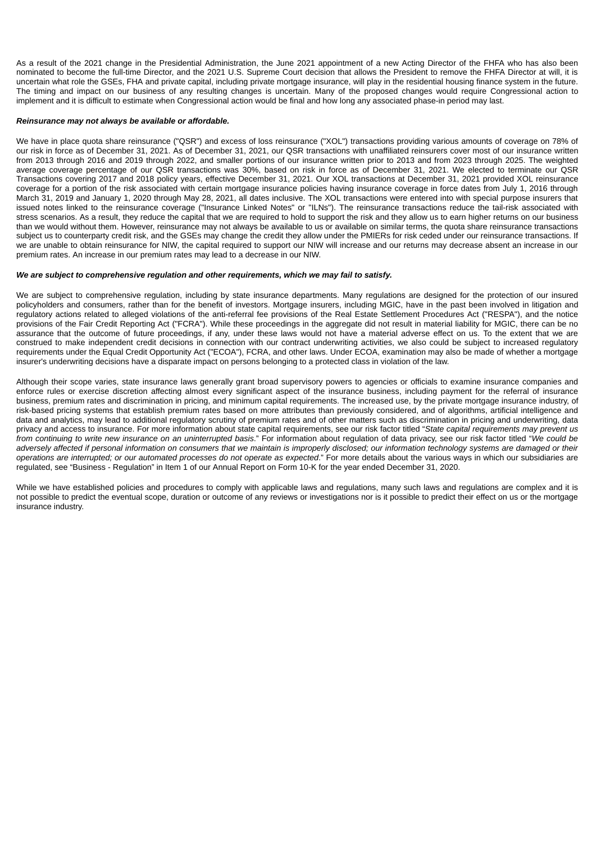As a result of the 2021 change in the Presidential Administration, the June 2021 appointment of a new Acting Director of the FHFA who has also been nominated to become the full-time Director, and the 2021 U.S. Supreme Court decision that allows the President to remove the FHFA Director at will, it is uncertain what role the GSEs, FHA and private capital, including private mortgage insurance, will play in the residential housing finance system in the future. The timing and impact on our business of any resulting changes is uncertain. Many of the proposed changes would require Congressional action to implement and it is difficult to estimate when Congressional action would be final and how long any associated phase-in period may last.

#### *Reinsurance may not always be available or affordable.*

We have in place quota share reinsurance ("QSR") and excess of loss reinsurance ("XOL") transactions providing various amounts of coverage on 78% of our risk in force as of December 31, 2021. As of December 31, 2021, our QSR transactions with unaffiliated reinsurers cover most of our insurance written from 2013 through 2016 and 2019 through 2022, and smaller portions of our insurance written prior to 2013 and from 2023 through 2025. The weighted average coverage percentage of our QSR transactions was 30%, based on risk in force as of December 31, 2021. We elected to terminate our QSR Transactions covering 2017 and 2018 policy years, effective December 31, 2021. Our XOL transactions at December 31, 2021 provided XOL reinsurance coverage for a portion of the risk associated with certain mortgage insurance policies having insurance coverage in force dates from July 1, 2016 through March 31, 2019 and January 1, 2020 through May 28, 2021, all dates inclusive. The XOL transactions were entered into with special purpose insurers that issued notes linked to the reinsurance coverage ("Insurance Linked Notes" or "ILNs"). The reinsurance transactions reduce the tail-risk associated with stress scenarios. As a result, they reduce the capital that we are required to hold to support the risk and they allow us to earn higher returns on our business than we would without them. However, reinsurance may not always be available to us or available on similar terms, the quota share reinsurance transactions subject us to counterparty credit risk, and the GSEs may change the credit they allow under the PMIERs for risk ceded under our reinsurance transactions. If we are unable to obtain reinsurance for NIW, the capital required to support our NIW will increase and our returns may decrease absent an increase in our premium rates. An increase in our premium rates may lead to a decrease in our NIW.

#### *We are subject to comprehensive regulation and other requirements, which we may fail to satisfy.*

We are subject to comprehensive regulation, including by state insurance departments. Many regulations are designed for the protection of our insured policyholders and consumers, rather than for the benefit of investors. Mortgage insurers, including MGIC, have in the past been involved in litigation and regulatory actions related to alleged violations of the anti-referral fee provisions of the Real Estate Settlement Procedures Act ("RESPA"), and the notice provisions of the Fair Credit Reporting Act ("FCRA"). While these proceedings in the aggregate did not result in material liability for MGIC, there can be no assurance that the outcome of future proceedings, if any, under these laws would not have a material adverse effect on us. To the extent that we are construed to make independent credit decisions in connection with our contract underwriting activities, we also could be subject to increased regulatory requirements under the Equal Credit Opportunity Act ("ECOA"), FCRA, and other laws. Under ECOA, examination may also be made of whether a mortgage insurer's underwriting decisions have a disparate impact on persons belonging to a protected class in violation of the law.

Although their scope varies, state insurance laws generally grant broad supervisory powers to agencies or officials to examine insurance companies and enforce rules or exercise discretion affecting almost every significant aspect of the insurance business, including payment for the referral of insurance business, premium rates and discrimination in pricing, and minimum capital requirements. The increased use, by the private mortgage insurance industry, of risk-based pricing systems that establish premium rates based on more attributes than previously considered, and of algorithms, artificial intelligence and data and analytics, may lead to additional regulatory scrutiny of premium rates and of other matters such as discrimination in pricing and underwriting, data privacy and access to insurance. For more information about state capital requirements, see our risk factor titled "*State capital requirements may prevent us from continuing to write new insurance on an uninterrupted basis*." For information about regulation of data privacy, see our risk factor titled "*We could be adversely affected if personal information on consumers that we maintain is improperly disclosed; our information technology systems are damaged or their operations are interrupted; or our automated processes do not operate as expected*." For more details about the various ways in which our subsidiaries are regulated, see "Business - Regulation" in Item 1 of our Annual Report on Form 10-K for the year ended December 31, 2020.

While we have established policies and procedures to comply with applicable laws and regulations, many such laws and regulations are complex and it is not possible to predict the eventual scope, duration or outcome of any reviews or investigations nor is it possible to predict their effect on us or the mortgage insurance industry.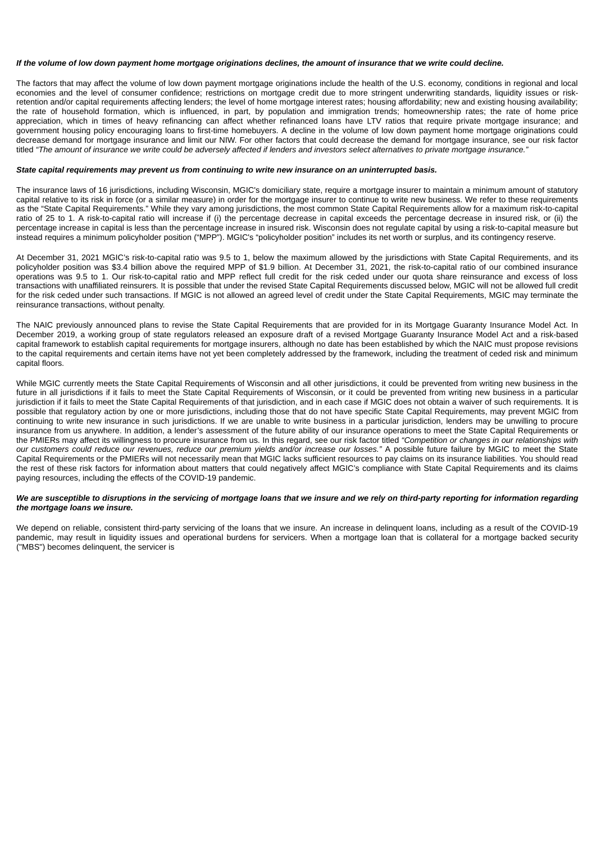#### *If the volume of low down payment home mortgage originations declines, the amount of insurance that we write could decline.*

The factors that may affect the volume of low down payment mortgage originations include the health of the U.S. economy, conditions in regional and local economies and the level of consumer confidence; restrictions on mortgage credit due to more stringent underwriting standards, liquidity issues or riskretention and/or capital requirements affecting lenders; the level of home mortgage interest rates; housing affordability; new and existing housing availability; the rate of household formation, which is influenced, in part, by population and immigration trends; homeownership rates; the rate of home price appreciation, which in times of heavy refinancing can affect whether refinanced loans have LTV ratios that require private mortgage insurance; and government housing policy encouraging loans to first-time homebuyers. A decline in the volume of low down payment home mortgage originations could decrease demand for mortgage insurance and limit our NIW. For other factors that could decrease the demand for mortgage insurance, see our risk factor titled *"The amount of insurance we write could be adversely affected if lenders and investors select alternatives to private mortgage insurance."*

## *State capital requirements may prevent us from continuing to write new insurance on an uninterrupted basis.*

The insurance laws of 16 jurisdictions, including Wisconsin, MGIC's domiciliary state, require a mortgage insurer to maintain a minimum amount of statutory capital relative to its risk in force (or a similar measure) in order for the mortgage insurer to continue to write new business. We refer to these requirements as the "State Capital Requirements." While they vary among jurisdictions, the most common State Capital Requirements allow for a maximum risk-to-capital ratio of 25 to 1. A risk-to-capital ratio will increase if (i) the percentage decrease in capital exceeds the percentage decrease in insured risk, or (ii) the percentage increase in capital is less than the percentage increase in insured risk. Wisconsin does not regulate capital by using a risk-to-capital measure but instead requires a minimum policyholder position ("MPP"). MGIC's "policyholder position" includes its net worth or surplus, and its contingency reserve.

At December 31, 2021 MGIC's risk-to-capital ratio was 9.5 to 1, below the maximum allowed by the jurisdictions with State Capital Requirements, and its policyholder position was \$3.4 billion above the required MPP of \$1.9 billion. At December 31, 2021, the risk-to-capital ratio of our combined insurance operations was 9.5 to 1. Our risk-to-capital ratio and MPP reflect full credit for the risk ceded under our quota share reinsurance and excess of loss transactions with unaffiliated reinsurers*.* It is possible that under the revised State Capital Requirements discussed below, MGIC will not be allowed full credit for the risk ceded under such transactions. If MGIC is not allowed an agreed level of credit under the State Capital Requirements, MGIC may terminate the reinsurance transactions, without penalty.

The NAIC previously announced plans to revise the State Capital Requirements that are provided for in its Mortgage Guaranty Insurance Model Act. In December 2019, a working group of state regulators released an exposure draft of a revised Mortgage Guaranty Insurance Model Act and a risk-based capital framework to establish capital requirements for mortgage insurers, although no date has been established by which the NAIC must propose revisions to the capital requirements and certain items have not yet been completely addressed by the framework, including the treatment of ceded risk and minimum capital floors.

While MGIC currently meets the State Capital Requirements of Wisconsin and all other jurisdictions, it could be prevented from writing new business in the future in all jurisdictions if it fails to meet the State Capital Requirements of Wisconsin, or it could be prevented from writing new business in a particular jurisdiction if it fails to meet the State Capital Requirements of that jurisdiction, and in each case if MGIC does not obtain a waiver of such requirements. It is possible that regulatory action by one or more jurisdictions, including those that do not have specific State Capital Requirements, may prevent MGIC from continuing to write new insurance in such jurisdictions. If we are unable to write business in a particular jurisdiction, lenders may be unwilling to procure insurance from us anywhere. In addition, a lender's assessment of the future ability of our insurance operations to meet the State Capital Requirements or the PMIERs may affect its willingness to procure insurance from us. In this regard, see our risk factor titled *"Competition or changes in our relationships with our customers could reduce our revenues, reduce our premium yields and/or increase our losses."* A possible future failure by MGIC to meet the State Capital Requirements or the PMIERs will not necessarily mean that MGIC lacks sufficient resources to pay claims on its insurance liabilities. You should read the rest of these risk factors for information about matters that could negatively affect MGIC's compliance with State Capital Requirements and its claims paying resources, including the effects of the COVID-19 pandemic.

#### *We are susceptible to disruptions in the servicing of mortgage loans that we insure and we rely on third-party reporting for information regarding the mortgage loans we insure.*

We depend on reliable, consistent third-party servicing of the loans that we insure. An increase in delinguent loans, including as a result of the COVID-19 pandemic, may result in liquidity issues and operational burdens for servicers. When a mortgage loan that is collateral for a mortgage backed security ("MBS") becomes delinquent, the servicer is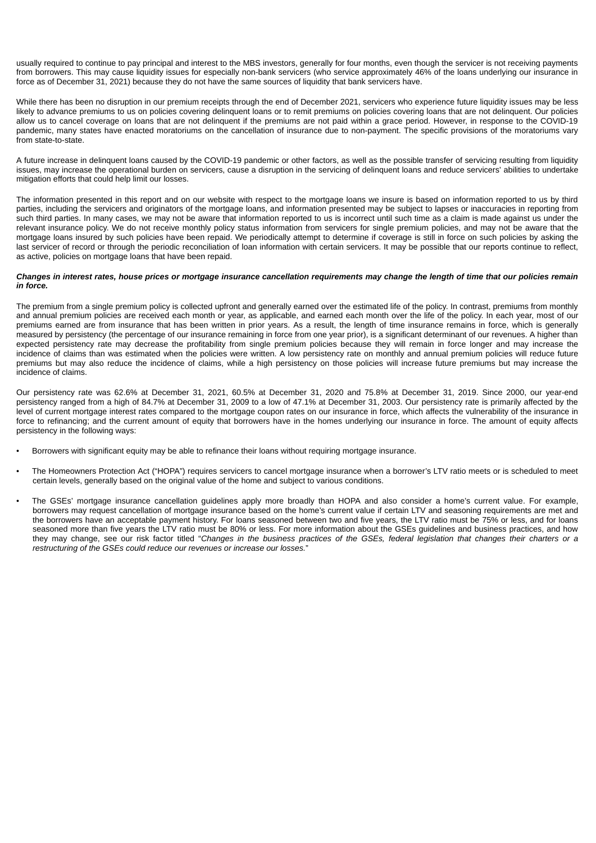usually required to continue to pay principal and interest to the MBS investors, generally for four months, even though the servicer is not receiving payments from borrowers. This may cause liquidity issues for especially non-bank servicers (who service approximately 46% of the loans underlying our insurance in force as of December 31, 2021) because they do not have the same sources of liquidity that bank servicers have.

While there has been no disruption in our premium receipts through the end of December 2021, servicers who experience future liquidity issues may be less likely to advance premiums to us on policies covering delinquent loans or to remit premiums on policies covering loans that are not delinquent. Our policies allow us to cancel coverage on loans that are not delinquent if the premiums are not paid within a grace period. However, in response to the COVID-19 pandemic, many states have enacted moratoriums on the cancellation of insurance due to non-payment. The specific provisions of the moratoriums vary from state-to-state.

A future increase in delinquent loans caused by the COVID-19 pandemic or other factors, as well as the possible transfer of servicing resulting from liquidity issues, may increase the operational burden on servicers, cause a disruption in the servicing of delinquent loans and reduce servicers' abilities to undertake mitigation efforts that could help limit our losses.

The information presented in this report and on our website with respect to the mortgage loans we insure is based on information reported to us by third parties, including the servicers and originators of the mortgage loans, and information presented may be subject to lapses or inaccuracies in reporting from such third parties. In many cases, we may not be aware that information reported to us is incorrect until such time as a claim is made against us under the relevant insurance policy. We do not receive monthly policy status information from servicers for single premium policies, and may not be aware that the mortgage loans insured by such policies have been repaid. We periodically attempt to determine if coverage is still in force on such policies by asking the last servicer of record or through the periodic reconciliation of loan information with certain servicers. It may be possible that our reports continue to reflect, as active, policies on mortgage loans that have been repaid.

#### *Changes in interest rates, house prices or mortgage insurance cancellation requirements may change the length of time that our policies remain in force.*

The premium from a single premium policy is collected upfront and generally earned over the estimated life of the policy. In contrast, premiums from monthly and annual premium policies are received each month or year, as applicable, and earned each month over the life of the policy. In each year, most of our premiums earned are from insurance that has been written in prior years. As a result, the length of time insurance remains in force, which is generally measured by persistency (the percentage of our insurance remaining in force from one year prior), is a significant determinant of our revenues. A higher than expected persistency rate may decrease the profitability from single premium policies because they will remain in force longer and may increase the incidence of claims than was estimated when the policies were written. A low persistency rate on monthly and annual premium policies will reduce future premiums but may also reduce the incidence of claims, while a high persistency on those policies will increase future premiums but may increase the incidence of claims.

Our persistency rate was 62.6% at December 31, 2021, 60.5% at December 31, 2020 and 75.8% at December 31, 2019. Since 2000, our year-end persistency ranged from a high of 84.7% at December 31, 2009 to a low of 47.1% at December 31, 2003. Our persistency rate is primarily affected by the level of current mortgage interest rates compared to the mortgage coupon rates on our insurance in force, which affects the vulnerability of the insurance in force to refinancing; and the current amount of equity that borrowers have in the homes underlying our insurance in force. The amount of equity affects persistency in the following ways:

- Borrowers with significant equity may be able to refinance their loans without requiring mortgage insurance.
- The Homeowners Protection Act ("HOPA") requires servicers to cancel mortgage insurance when a borrower's LTV ratio meets or is scheduled to meet certain levels, generally based on the original value of the home and subject to various conditions.
- The GSEs' mortgage insurance cancellation guidelines apply more broadly than HOPA and also consider a home's current value. For example, borrowers may request cancellation of mortgage insurance based on the home's current value if certain LTV and seasoning requirements are met and the borrowers have an acceptable payment history. For loans seasoned between two and five years, the LTV ratio must be 75% or less, and for loans seasoned more than five years the LTV ratio must be 80% or less. For more information about the GSEs guidelines and business practices, and how they may change, see our risk factor titled "*Changes in the business practices of the GSEs, federal legislation that changes their charters or a restructuring of the GSEs could reduce our revenues or increase our losses.*"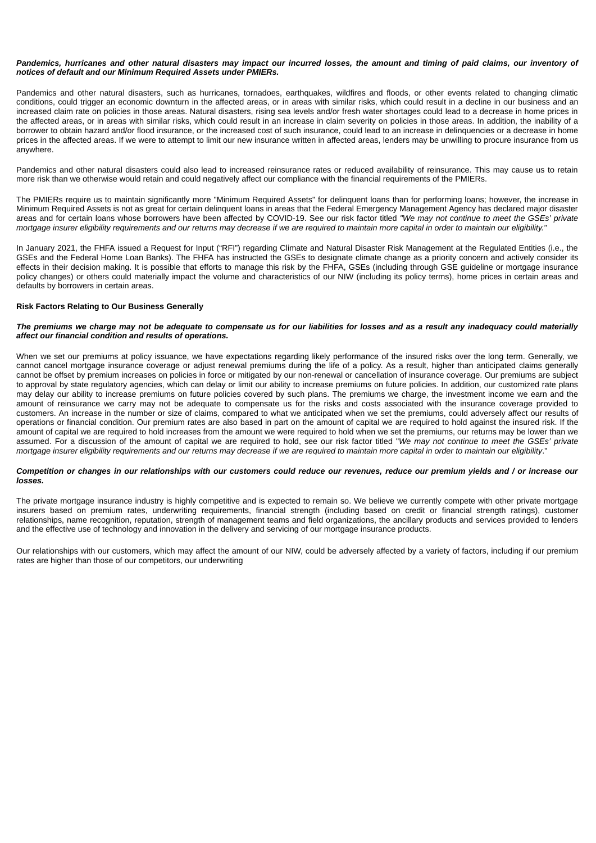#### *Pandemics, hurricanes and other natural disasters may impact our incurred losses, the amount and timing of paid claims, our inventory of notices of default and our Minimum Required Assets under PMIERs.*

Pandemics and other natural disasters, such as hurricanes, tornadoes, earthquakes, wildfires and floods, or other events related to changing climatic conditions, could trigger an economic downturn in the affected areas, or in areas with similar risks, which could result in a decline in our business and an increased claim rate on policies in those areas. Natural disasters, rising sea levels and/or fresh water shortages could lead to a decrease in home prices in the affected areas, or in areas with similar risks, which could result in an increase in claim severity on policies in those areas. In addition, the inability of a borrower to obtain hazard and/or flood insurance, or the increased cost of such insurance, could lead to an increase in delinquencies or a decrease in home prices in the affected areas. If we were to attempt to limit our new insurance written in affected areas, lenders may be unwilling to procure insurance from us anywhere.

Pandemics and other natural disasters could also lead to increased reinsurance rates or reduced availability of reinsurance. This may cause us to retain more risk than we otherwise would retain and could negatively affect our compliance with the financial requirements of the PMIERs.

The PMIERs require us to maintain significantly more "Minimum Required Assets" for delinquent loans than for performing loans; however, the increase in Minimum Required Assets is not as great for certain delinquent loans in areas that the Federal Emergency Management Agency has declared major disaster areas and for certain loans whose borrowers have been affected by COVID-19. See our risk factor titled *"We may not continue to meet the GSEs' private mortgage insurer eligibility requirements and our returns may decrease if we are required to maintain more capital in order to maintain our eligibility."*

In January 2021, the FHFA issued a Request for Input ("RFI") regarding Climate and Natural Disaster Risk Management at the Regulated Entities (i.e., the GSEs and the Federal Home Loan Banks). The FHFA has instructed the GSEs to designate climate change as a priority concern and actively consider its effects in their decision making. It is possible that efforts to manage this risk by the FHFA, GSEs (including through GSE guideline or mortgage insurance policy changes) or others could materially impact the volume and characteristics of our NIW (including its policy terms), home prices in certain areas and defaults by borrowers in certain areas.

## **Risk Factors Relating to Our Business Generally**

#### *The premiums we charge may not be adequate to compensate us for our liabilities for losses and as a result any inadequacy could materially affect our financial condition and results of operations.*

When we set our premiums at policy issuance, we have expectations regarding likely performance of the insured risks over the long term. Generally, we cannot cancel mortgage insurance coverage or adjust renewal premiums during the life of a policy. As a result, higher than anticipated claims generally cannot be offset by premium increases on policies in force or mitigated by our non-renewal or cancellation of insurance coverage. Our premiums are subject to approval by state regulatory agencies, which can delay or limit our ability to increase premiums on future policies. In addition, our customized rate plans may delay our ability to increase premiums on future policies covered by such plans. The premiums we charge, the investment income we earn and the amount of reinsurance we carry may not be adequate to compensate us for the risks and costs associated with the insurance coverage provided to customers. An increase in the number or size of claims, compared to what we anticipated when we set the premiums, could adversely affect our results of operations or financial condition. Our premium rates are also based in part on the amount of capital we are required to hold against the insured risk. If the amount of capital we are required to hold increases from the amount we were required to hold when we set the premiums, our returns may be lower than we assumed. For a discussion of the amount of capital we are required to hold, see our risk factor titled "*We may not continue to meet the GSEs' private mortgage insurer eligibility requirements and our returns may decrease if we are required to maintain more capital in order to maintain our eligibility*."

#### *Competition or changes in our relationships with our customers could reduce our revenues, reduce our premium yields and / or increase our losses.*

The private mortgage insurance industry is highly competitive and is expected to remain so. We believe we currently compete with other private mortgage insurers based on premium rates, underwriting requirements, financial strength (including based on credit or financial strength ratings), customer relationships, name recognition, reputation, strength of management teams and field organizations, the ancillary products and services provided to lenders and the effective use of technology and innovation in the delivery and servicing of our mortgage insurance products.

Our relationships with our customers, which may affect the amount of our NIW, could be adversely affected by a variety of factors, including if our premium rates are higher than those of our competitors, our underwriting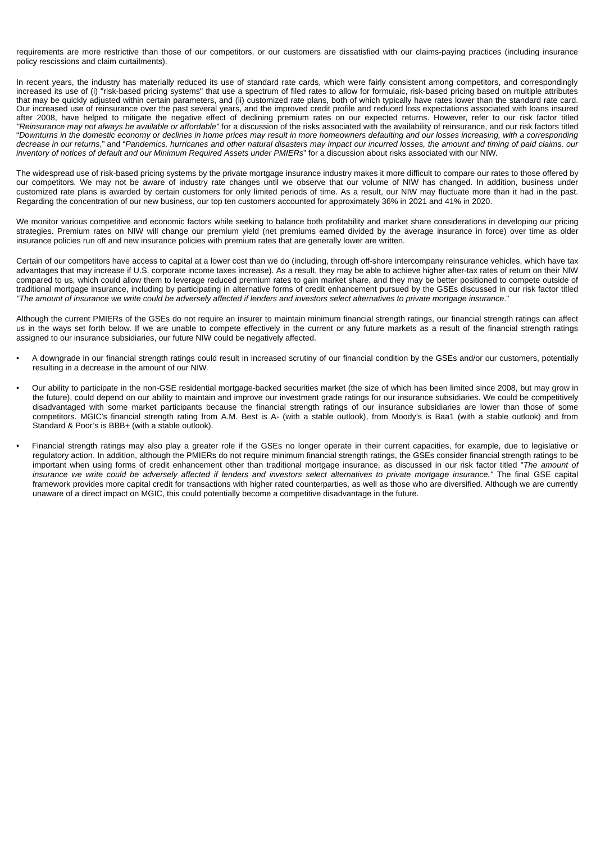requirements are more restrictive than those of our competitors, or our customers are dissatisfied with our claims-paying practices (including insurance policy rescissions and claim curtailments).

In recent years, the industry has materially reduced its use of standard rate cards, which were fairly consistent among competitors, and correspondingly increased its use of (i) "risk-based pricing systems" that use a spectrum of filed rates to allow for formulaic, risk-based pricing based on multiple attributes that may be quickly adjusted within certain parameters, and (ii) customized rate plans, both of which typically have rates lower than the standard rate card. Our increased use of reinsurance over the past several years, and the improved credit profile and reduced loss expectations associated with loans insured after 2008, have helped to mitigate the negative effect of declining premium rates on our expected returns. However, refer to our risk factor titled *"Reinsurance may not always be available or affordable"* for a discussion of the risks associated with the availability of reinsurance, and our risk factors titled "*Downturns in the domestic economy or declines in home prices may result in more homeowners defaulting and our losses increasing, with a corresponding decrease in our returns*," and "*Pandemics, hurricanes and other natural disasters may impact our incurred losses, the amount and timing of paid claims, our inventory of notices of default and our Minimum Required Assets under PMIERs*" for a discussion about risks associated with our NIW.

The widespread use of risk-based pricing systems by the private mortgage insurance industry makes it more difficult to compare our rates to those offered by our competitors. We may not be aware of industry rate changes until we observe that our volume of NIW has changed. In addition, business under customized rate plans is awarded by certain customers for only limited periods of time. As a result, our NIW may fluctuate more than it had in the past. Regarding the concentration of our new business, our top ten customers accounted for approximately 36% in 2021 and 41% in 2020.

We monitor various competitive and economic factors while seeking to balance both profitability and market share considerations in developing our pricing strategies. Premium rates on NIW will change our premium yield (net premiums earned divided by the average insurance in force) over time as older insurance policies run off and new insurance policies with premium rates that are generally lower are written.

Certain of our competitors have access to capital at a lower cost than we do (including, through off-shore intercompany reinsurance vehicles, which have tax advantages that may increase if U.S. corporate income taxes increase). As a result, they may be able to achieve higher after-tax rates of return on their NIW compared to us, which could allow them to leverage reduced premium rates to gain market share, and they may be better positioned to compete outside of traditional mortgage insurance, including by participating in alternative forms of credit enhancement pursued by the GSEs discussed in our risk factor titled *"The amount of insurance we write could be adversely affected if lenders and investors select alternatives to private mortgage insurance*."

Although the current PMIERs of the GSEs do not require an insurer to maintain minimum financial strength ratings, our financial strength ratings can affect us in the ways set forth below. If we are unable to compete effectively in the current or any future markets as a result of the financial strength ratings assigned to our insurance subsidiaries, our future NIW could be negatively affected.

- A downgrade in our financial strength ratings could result in increased scrutiny of our financial condition by the GSEs and/or our customers, potentially resulting in a decrease in the amount of our NIW.
- Our ability to participate in the non-GSE residential mortgage-backed securities market (the size of which has been limited since 2008, but may grow in the future), could depend on our ability to maintain and improve our investment grade ratings for our insurance subsidiaries. We could be competitively disadvantaged with some market participants because the financial strength ratings of our insurance subsidiaries are lower than those of some competitors. MGIC's financial strength rating from A.M. Best is A- (with a stable outlook), from Moody's is Baa1 (with a stable outlook) and from Standard & Poor's is BBB+ (with a stable outlook).
- Financial strength ratings may also play a greater role if the GSEs no longer operate in their current capacities, for example, due to legislative or regulatory action. In addition, although the PMIERs do not require minimum financial strength ratings, the GSEs consider financial strength ratings to be important when using forms of credit enhancement other than traditional mortgage insurance, as discussed in our risk factor titled "*The amount of insurance we write could be adversely affected if lenders and investors select alternatives to private mortgage insurance."* The final GSE capital framework provides more capital credit for transactions with higher rated counterparties, as well as those who are diversified. Although we are currently unaware of a direct impact on MGIC, this could potentially become a competitive disadvantage in the future.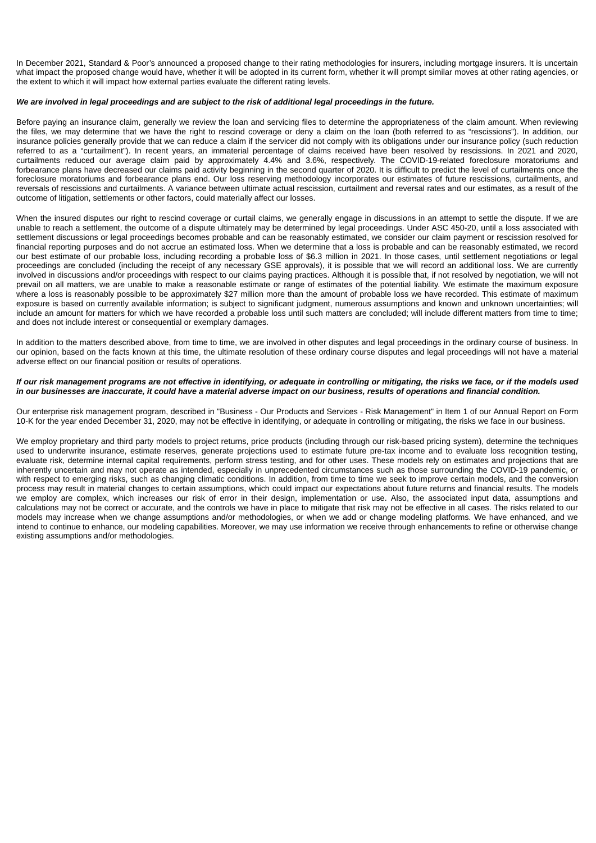In December 2021, Standard & Poor's announced a proposed change to their rating methodologies for insurers, including mortgage insurers. It is uncertain what impact the proposed change would have, whether it will be adopted in its current form, whether it will prompt similar moves at other rating agencies, or the extent to which it will impact how external parties evaluate the different rating levels.

## *We are involved in legal proceedings and are subject to the risk of additional legal proceedings in the future.*

Before paying an insurance claim, generally we review the loan and servicing files to determine the appropriateness of the claim amount. When reviewing the files, we may determine that we have the right to rescind coverage or deny a claim on the loan (both referred to as "rescissions"). In addition, our insurance policies generally provide that we can reduce a claim if the servicer did not comply with its obligations under our insurance policy (such reduction referred to as a "curtailment"). In recent years, an immaterial percentage of claims received have been resolved by rescissions. In 2021 and 2020, curtailments reduced our average claim paid by approximately 4.4% and 3.6%, respectively. The COVID-19-related foreclosure moratoriums and forbearance plans have decreased our claims paid activity beginning in the second quarter of 2020. It is difficult to predict the level of curtailments once the foreclosure moratoriums and forbearance plans end. Our loss reserving methodology incorporates our estimates of future rescissions, curtailments, and reversals of rescissions and curtailments. A variance between ultimate actual rescission, curtailment and reversal rates and our estimates, as a result of the outcome of litigation, settlements or other factors, could materially affect our losses.

When the insured disputes our right to rescind coverage or curtail claims, we generally engage in discussions in an attempt to settle the dispute. If we are unable to reach a settlement, the outcome of a dispute ultimately may be determined by legal proceedings. Under ASC 450-20, until a loss associated with settlement discussions or legal proceedings becomes probable and can be reasonably estimated, we consider our claim payment or rescission resolved for financial reporting purposes and do not accrue an estimated loss. When we determine that a loss is probable and can be reasonably estimated, we record our best estimate of our probable loss, including recording a probable loss of \$6.3 million in 2021. In those cases, until settlement negotiations or legal proceedings are concluded (including the receipt of any necessary GSE approvals), it is possible that we will record an additional loss. We are currently involved in discussions and/or proceedings with respect to our claims paying practices. Although it is possible that, if not resolved by negotiation, we will not prevail on all matters, we are unable to make a reasonable estimate or range of estimates of the potential liability. We estimate the maximum exposure where a loss is reasonably possible to be approximately \$27 million more than the amount of probable loss we have recorded. This estimate of maximum exposure is based on currently available information; is subject to significant judgment, numerous assumptions and known and unknown uncertainties; will include an amount for matters for which we have recorded a probable loss until such matters are concluded; will include different matters from time to time; and does not include interest or consequential or exemplary damages.

In addition to the matters described above, from time to time, we are involved in other disputes and legal proceedings in the ordinary course of business. In our opinion, based on the facts known at this time, the ultimate resolution of these ordinary course disputes and legal proceedings will not have a material adverse effect on our financial position or results of operations.

#### *If our risk management programs are not effective in identifying, or adequate in controlling or mitigating, the risks we face, or if the models used in our businesses are inaccurate, it could have a material adverse impact on our business, results of operations and financial condition.*

Our enterprise risk management program, described in "Business - Our Products and Services - Risk Management" in Item 1 of our Annual Report on Form 10-K for the year ended December 31, 2020, may not be effective in identifying, or adequate in controlling or mitigating, the risks we face in our business.

We employ proprietary and third party models to project returns, price products (including through our risk-based pricing system), determine the techniques used to underwrite insurance, estimate reserves, generate projections used to estimate future pre-tax income and to evaluate loss recognition testing, evaluate risk, determine internal capital requirements, perform stress testing, and for other uses. These models rely on estimates and projections that are inherently uncertain and may not operate as intended, especially in unprecedented circumstances such as those surrounding the COVID-19 pandemic, or with respect to emerging risks, such as changing climatic conditions. In addition, from time to time we seek to improve certain models, and the conversion process may result in material changes to certain assumptions, which could impact our expectations about future returns and financial results. The models we employ are complex, which increases our risk of error in their design, implementation or use. Also, the associated input data, assumptions and calculations may not be correct or accurate, and the controls we have in place to mitigate that risk may not be effective in all cases. The risks related to our models may increase when we change assumptions and/or methodologies, or when we add or change modeling platforms. We have enhanced, and we intend to continue to enhance, our modeling capabilities. Moreover, we may use information we receive through enhancements to refine or otherwise change existing assumptions and/or methodologies.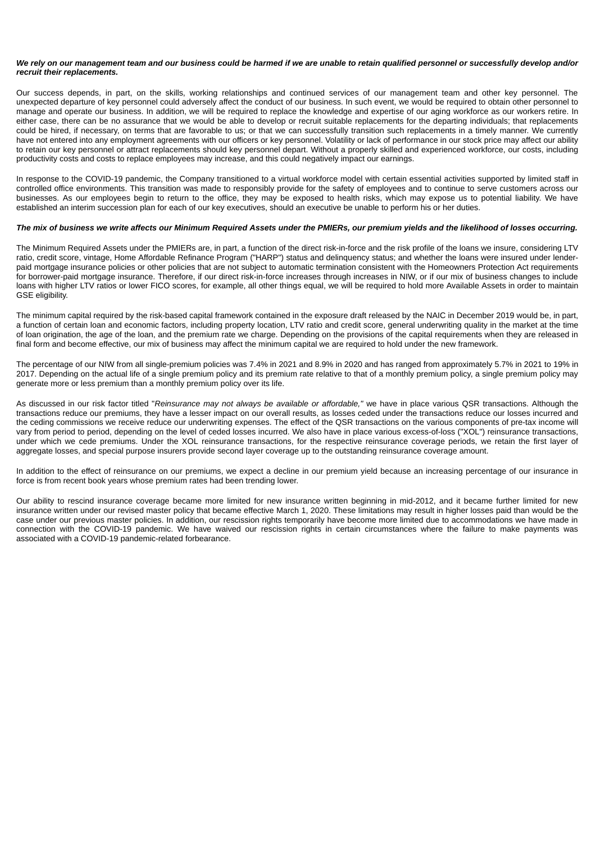#### *We rely on our management team and our business could be harmed if we are unable to retain qualified personnel or successfully develop and/or recruit their replacements.*

Our success depends, in part, on the skills, working relationships and continued services of our management team and other key personnel. The unexpected departure of key personnel could adversely affect the conduct of our business. In such event, we would be required to obtain other personnel to manage and operate our business. In addition, we will be required to replace the knowledge and expertise of our aging workforce as our workers retire. In either case, there can be no assurance that we would be able to develop or recruit suitable replacements for the departing individuals; that replacements could be hired, if necessary, on terms that are favorable to us; or that we can successfully transition such replacements in a timely manner. We currently have not entered into any employment agreements with our officers or key personnel. Volatility or lack of performance in our stock price may affect our ability to retain our key personnel or attract replacements should key personnel depart. Without a properly skilled and experienced workforce, our costs, including productivity costs and costs to replace employees may increase, and this could negatively impact our earnings.

In response to the COVID-19 pandemic, the Company transitioned to a virtual workforce model with certain essential activities supported by limited staff in controlled office environments. This transition was made to responsibly provide for the safety of employees and to continue to serve customers across our businesses. As our employees begin to return to the office, they may be exposed to health risks, which may expose us to potential liability. We have established an interim succession plan for each of our key executives, should an executive be unable to perform his or her duties.

# *The mix of business we write affects our Minimum Required Assets under the PMIERs, our premium yields and the likelihood of losses occurring.*

The Minimum Required Assets under the PMIERs are, in part, a function of the direct risk-in-force and the risk profile of the loans we insure, considering LTV ratio, credit score, vintage, Home Affordable Refinance Program ("HARP") status and delinquency status; and whether the loans were insured under lenderpaid mortgage insurance policies or other policies that are not subject to automatic termination consistent with the Homeowners Protection Act requirements for borrower-paid mortgage insurance. Therefore, if our direct risk-in-force increases through increases in NIW, or if our mix of business changes to include loans with higher LTV ratios or lower FICO scores, for example, all other things equal, we will be required to hold more Available Assets in order to maintain GSE eligibility.

The minimum capital required by the risk-based capital framework contained in the exposure draft released by the NAIC in December 2019 would be, in part, a function of certain loan and economic factors, including property location, LTV ratio and credit score, general underwriting quality in the market at the time of loan origination, the age of the loan, and the premium rate we charge. Depending on the provisions of the capital requirements when they are released in final form and become effective, our mix of business may affect the minimum capital we are required to hold under the new framework.

The percentage of our NIW from all single-premium policies was 7.4% in 2021 and 8.9% in 2020 and has ranged from approximately 5.7% in 2021 to 19% in 2017. Depending on the actual life of a single premium policy and its premium rate relative to that of a monthly premium policy, a single premium policy may generate more or less premium than a monthly premium policy over its life.

As discussed in our risk factor titled "*Reinsurance may not always be available or affordable,"* we have in place various QSR transactions. Although the transactions reduce our premiums, they have a lesser impact on our overall results, as losses ceded under the transactions reduce our losses incurred and the ceding commissions we receive reduce our underwriting expenses. The effect of the QSR transactions on the various components of pre-tax income will vary from period to period, depending on the level of ceded losses incurred. We also have in place various excess-of-loss ("XOL") reinsurance transactions, under which we cede premiums. Under the XOL reinsurance transactions, for the respective reinsurance coverage periods, we retain the first layer of aggregate losses, and special purpose insurers provide second layer coverage up to the outstanding reinsurance coverage amount.

In addition to the effect of reinsurance on our premiums, we expect a decline in our premium yield because an increasing percentage of our insurance in force is from recent book years whose premium rates had been trending lower.

Our ability to rescind insurance coverage became more limited for new insurance written beginning in mid-2012, and it became further limited for new insurance written under our revised master policy that became effective March 1, 2020. These limitations may result in higher losses paid than would be the case under our previous master policies. In addition, our rescission rights temporarily have become more limited due to accommodations we have made in connection with the COVID-19 pandemic. We have waived our rescission rights in certain circumstances where the failure to make payments was associated with a COVID-19 pandemic-related forbearance.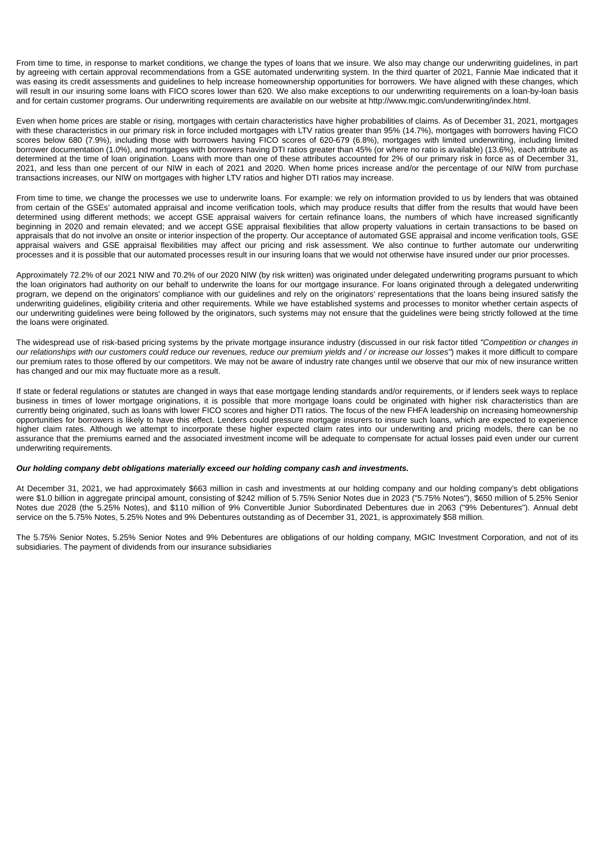From time to time, in response to market conditions, we change the types of loans that we insure. We also may change our underwriting guidelines, in part by agreeing with certain approval recommendations from a GSE automated underwriting system. In the third quarter of 2021, Fannie Mae indicated that it was easing its credit assessments and guidelines to help increase homeownership opportunities for borrowers. We have aligned with these changes, which will result in our insuring some loans with FICO scores lower than 620. We also make exceptions to our underwriting requirements on a loan-by-loan basis and for certain customer programs. Our underwriting requirements are available on our website at http://www.mgic.com/underwriting/index.html.

Even when home prices are stable or rising, mortgages with certain characteristics have higher probabilities of claims. As of December 31, 2021, mortgages with these characteristics in our primary risk in force included mortgages with LTV ratios greater than 95% (14.7%), mortgages with borrowers having FICO scores below 680 (7.9%), including those with borrowers having FICO scores of 620-679 (6.8%), mortgages with limited underwriting, including limited borrower documentation (1.0%), and mortgages with borrowers having DTI ratios greater than 45% (or where no ratio is available) (13.6%), each attribute as determined at the time of loan origination. Loans with more than one of these attributes accounted for 2% of our primary risk in force as of December 31, 2021, and less than one percent of our NIW in each of 2021 and 2020. When home prices increase and/or the percentage of our NIW from purchase transactions increases, our NIW on mortgages with higher LTV ratios and higher DTI ratios may increase.

From time to time, we change the processes we use to underwrite loans. For example: we rely on information provided to us by lenders that was obtained from certain of the GSEs' automated appraisal and income verification tools, which may produce results that differ from the results that would have been determined using different methods; we accept GSE appraisal waivers for certain refinance loans, the numbers of which have increased significantly beginning in 2020 and remain elevated; and we accept GSE appraisal flexibilities that allow property valuations in certain transactions to be based on appraisals that do not involve an onsite or interior inspection of the property. Our acceptance of automated GSE appraisal and income verification tools, GSE appraisal waivers and GSE appraisal flexibilities may affect our pricing and risk assessment. We also continue to further automate our underwriting processes and it is possible that our automated processes result in our insuring loans that we would not otherwise have insured under our prior processes.

Approximately 72.2% of our 2021 NIW and 70.2% of our 2020 NIW (by risk written) was originated under delegated underwriting programs pursuant to which the loan originators had authority on our behalf to underwrite the loans for our mortgage insurance. For loans originated through a delegated underwriting program, we depend on the originators' compliance with our guidelines and rely on the originators' representations that the loans being insured satisfy the underwriting guidelines, eligibility criteria and other requirements. While we have established systems and processes to monitor whether certain aspects of our underwriting guidelines were being followed by the originators, such systems may not ensure that the guidelines were being strictly followed at the time the loans were originated.

The widespread use of risk-based pricing systems by the private mortgage insurance industry (discussed in our risk factor titled *"Competition or changes in our relationships with our customers could reduce our revenues, reduce our premium yields and / or increase our losses"*) makes it more difficult to compare our premium rates to those offered by our competitors. We may not be aware of industry rate changes until we observe that our mix of new insurance written has changed and our mix may fluctuate more as a result.

If state or federal regulations or statutes are changed in ways that ease mortgage lending standards and/or requirements, or if lenders seek ways to replace business in times of lower mortgage originations, it is possible that more mortgage loans could be originated with higher risk characteristics than are currently being originated, such as loans with lower FICO scores and higher DTI ratios. The focus of the new FHFA leadership on increasing homeownership opportunities for borrowers is likely to have this effect. Lenders could pressure mortgage insurers to insure such loans, which are expected to experience higher claim rates. Although we attempt to incorporate these higher expected claim rates into our underwriting and pricing models, there can be no assurance that the premiums earned and the associated investment income will be adequate to compensate for actual losses paid even under our current underwriting requirements.

## *Our holding company debt obligations materially exceed our holding company cash and investments.*

At December 31, 2021, we had approximately \$663 million in cash and investments at our holding company and our holding company's debt obligations were \$1.0 billion in aggregate principal amount, consisting of \$242 million of 5.75% Senior Notes due in 2023 ("5.75% Notes"), \$650 million of 5.25% Senior Notes due 2028 (the 5.25% Notes), and \$110 million of 9% Convertible Junior Subordinated Debentures due in 2063 ("9% Debentures"). Annual debt service on the 5.75% Notes, 5.25% Notes and 9% Debentures outstanding as of December 31, 2021, is approximately \$58 million.

The 5.75% Senior Notes, 5.25% Senior Notes and 9% Debentures are obligations of our holding company, MGIC Investment Corporation, and not of its subsidiaries. The payment of dividends from our insurance subsidiaries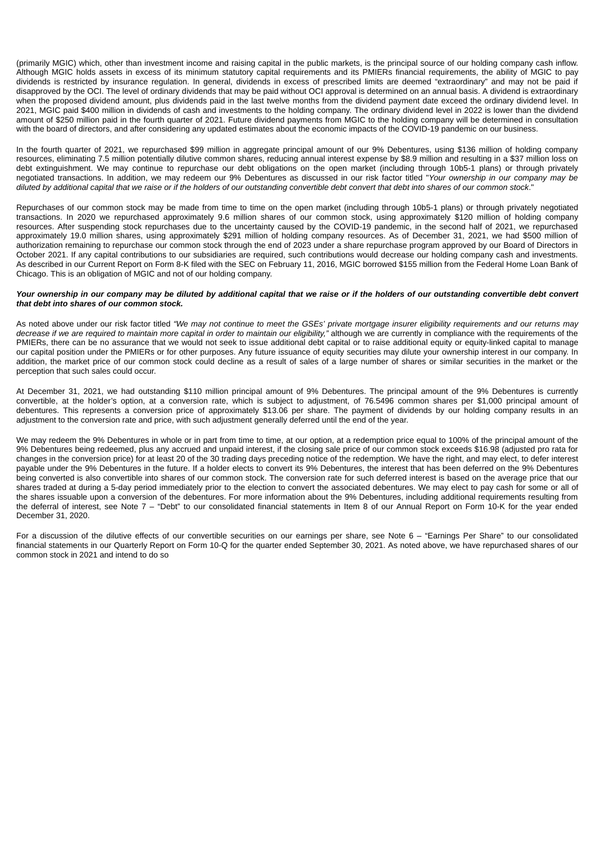(primarily MGIC) which, other than investment income and raising capital in the public markets, is the principal source of our holding company cash inflow. Although MGIC holds assets in excess of its minimum statutory capital requirements and its PMIERs financial requirements, the ability of MGIC to pay dividends is restricted by insurance regulation. In general, dividends in excess of prescribed limits are deemed "extraordinary" and may not be paid if disapproved by the OCI. The level of ordinary dividends that may be paid without OCI approval is determined on an annual basis. A dividend is extraordinary when the proposed dividend amount, plus dividends paid in the last twelve months from the dividend payment date exceed the ordinary dividend level. In 2021, MGIC paid \$400 million in dividends of cash and investments to the holding company. The ordinary dividend level in 2022 is lower than the dividend amount of \$250 million paid in the fourth quarter of 2021. Future dividend payments from MGIC to the holding company will be determined in consultation with the board of directors, and after considering any updated estimates about the economic impacts of the COVID-19 pandemic on our business.

In the fourth quarter of 2021, we repurchased \$99 million in aggregate principal amount of our 9% Debentures, using \$136 million of holding company resources, eliminating 7.5 million potentially dilutive common shares, reducing annual interest expense by \$8.9 million and resulting in a \$37 million loss on debt extinguishment. We may continue to repurchase our debt obligations on the open market (including through 10b5-1 plans) or through privately negotiated transactions. In addition, we may redeem our 9% Debentures as discussed in our risk factor titled "*Your ownership in our company may be diluted by additional capital that we raise or if the holders of our outstanding convertible debt convert that debt into shares of our common stock*."

Repurchases of our common stock may be made from time to time on the open market (including through 10b5-1 plans) or through privately negotiated transactions. In 2020 we repurchased approximately 9.6 million shares of our common stock, using approximately \$120 million of holding company resources. After suspending stock repurchases due to the uncertainty caused by the COVID-19 pandemic, in the second half of 2021, we repurchased approximately 19.0 million shares, using approximately \$291 million of holding company resources. As of December 31, 2021, we had \$500 million of authorization remaining to repurchase our common stock through the end of 2023 under a share repurchase program approved by our Board of Directors in October 2021. If any capital contributions to our subsidiaries are required, such contributions would decrease our holding company cash and investments. As described in our Current Report on Form 8-K filed with the SEC on February 11, 2016, MGIC borrowed \$155 million from the Federal Home Loan Bank of Chicago. This is an obligation of MGIC and not of our holding company.

#### *Your ownership in our company may be diluted by additional capital that we raise or if the holders of our outstanding convertible debt convert that debt into shares of our common stock.*

As noted above under our risk factor titled *"We may not continue to meet the GSEs' private mortgage insurer eligibility requirements and our returns may decrease if we are required to maintain more capital in order to maintain our eligibility,"* although we are currently in compliance with the requirements of the PMIERs, there can be no assurance that we would not seek to issue additional debt capital or to raise additional equity or equity-linked capital to manage our capital position under the PMIERs or for other purposes. Any future issuance of equity securities may dilute your ownership interest in our company. In addition, the market price of our common stock could decline as a result of sales of a large number of shares or similar securities in the market or the perception that such sales could occur.

At December 31, 2021, we had outstanding \$110 million principal amount of 9% Debentures. The principal amount of the 9% Debentures is currently convertible, at the holder's option, at a conversion rate, which is subject to adjustment, of 76.5496 common shares per \$1,000 principal amount of debentures. This represents a conversion price of approximately \$13.06 per share. The payment of dividends by our holding company results in an adjustment to the conversion rate and price, with such adjustment generally deferred until the end of the year.

We may redeem the 9% Debentures in whole or in part from time to time, at our option, at a redemption price equal to 100% of the principal amount of the 9% Debentures being redeemed, plus any accrued and unpaid interest, if the closing sale price of our common stock exceeds \$16.98 (adjusted pro rata for changes in the conversion price) for at least 20 of the 30 trading days preceding notice of the redemption. We have the right, and may elect, to defer interest payable under the 9% Debentures in the future. If a holder elects to convert its 9% Debentures, the interest that has been deferred on the 9% Debentures being converted is also convertible into shares of our common stock. The conversion rate for such deferred interest is based on the average price that our shares traded at during a 5-day period immediately prior to the election to convert the associated debentures. We may elect to pay cash for some or all of the shares issuable upon a conversion of the debentures. For more information about the 9% Debentures, including additional requirements resulting from the deferral of interest, see Note 7 – "Debt" to our consolidated financial statements in Item 8 of our Annual Report on Form 10-K for the year ended December 31, 2020.

For a discussion of the dilutive effects of our convertible securities on our earnings per share, see Note 6 – "Earnings Per Share" to our consolidated financial statements in our Quarterly Report on Form 10-Q for the quarter ended September 30, 2021. As noted above, we have repurchased shares of our common stock in 2021 and intend to do so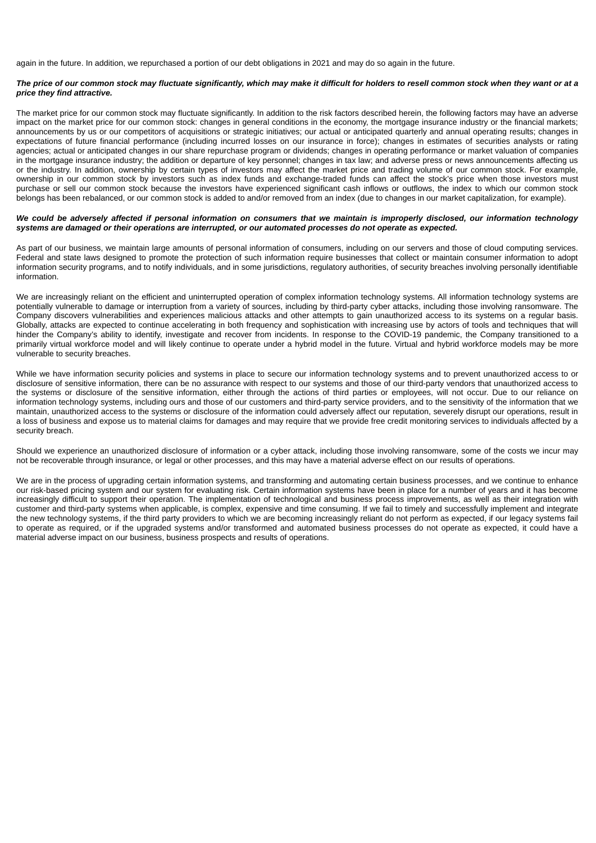again in the future. In addition, we repurchased a portion of our debt obligations in 2021 and may do so again in the future.

#### *The price of our common stock may fluctuate significantly, which may make it difficult for holders to resell common stock when they want or at a price they find attractive.*

The market price for our common stock may fluctuate significantly. In addition to the risk factors described herein, the following factors may have an adverse impact on the market price for our common stock: changes in general conditions in the economy, the mortgage insurance industry or the financial markets; announcements by us or our competitors of acquisitions or strategic initiatives; our actual or anticipated quarterly and annual operating results; changes in expectations of future financial performance (including incurred losses on our insurance in force); changes in estimates of securities analysts or rating agencies; actual or anticipated changes in our share repurchase program or dividends; changes in operating performance or market valuation of companies in the mortgage insurance industry; the addition or departure of key personnel; changes in tax law; and adverse press or news announcements affecting us or the industry. In addition, ownership by certain types of investors may affect the market price and trading volume of our common stock. For example, ownership in our common stock by investors such as index funds and exchange-traded funds can affect the stock's price when those investors must purchase or sell our common stock because the investors have experienced significant cash inflows or outflows, the index to which our common stock belongs has been rebalanced, or our common stock is added to and/or removed from an index (due to changes in our market capitalization, for example).

#### *We could be adversely affected if personal information on consumers that we maintain is improperly disclosed, our information technology systems are damaged or their operations are interrupted, or our automated processes do not operate as expected.*

As part of our business, we maintain large amounts of personal information of consumers, including on our servers and those of cloud computing services. Federal and state laws designed to promote the protection of such information require businesses that collect or maintain consumer information to adopt information security programs, and to notify individuals, and in some jurisdictions, regulatory authorities, of security breaches involving personally identifiable information.

We are increasingly reliant on the efficient and uninterrupted operation of complex information technology systems. All information technology systems are potentially vulnerable to damage or interruption from a variety of sources, including by third-party cyber attacks, including those involving ransomware. The Company discovers vulnerabilities and experiences malicious attacks and other attempts to gain unauthorized access to its systems on a regular basis. Globally, attacks are expected to continue accelerating in both frequency and sophistication with increasing use by actors of tools and techniques that will hinder the Company's ability to identify, investigate and recover from incidents. In response to the COVID-19 pandemic, the Company transitioned to a primarily virtual workforce model and will likely continue to operate under a hybrid model in the future. Virtual and hybrid workforce models may be more vulnerable to security breaches.

While we have information security policies and systems in place to secure our information technology systems and to prevent unauthorized access to or disclosure of sensitive information, there can be no assurance with respect to our systems and those of our third-party vendors that unauthorized access to the systems or disclosure of the sensitive information, either through the actions of third parties or employees, will not occur. Due to our reliance on information technology systems, including ours and those of our customers and third-party service providers, and to the sensitivity of the information that we maintain, unauthorized access to the systems or disclosure of the information could adversely affect our reputation, severely disrupt our operations, result in a loss of business and expose us to material claims for damages and may require that we provide free credit monitoring services to individuals affected by a security breach.

Should we experience an unauthorized disclosure of information or a cyber attack, including those involving ransomware, some of the costs we incur may not be recoverable through insurance, or legal or other processes, and this may have a material adverse effect on our results of operations.

We are in the process of upgrading certain information systems, and transforming and automating certain business processes, and we continue to enhance our risk-based pricing system and our system for evaluating risk. Certain information systems have been in place for a number of years and it has become increasingly difficult to support their operation. The implementation of technological and business process improvements, as well as their integration with customer and third-party systems when applicable, is complex, expensive and time consuming. If we fail to timely and successfully implement and integrate the new technology systems, if the third party providers to which we are becoming increasingly reliant do not perform as expected, if our legacy systems fail to operate as required, or if the upgraded systems and/or transformed and automated business processes do not operate as expected, it could have a material adverse impact on our business, business prospects and results of operations.